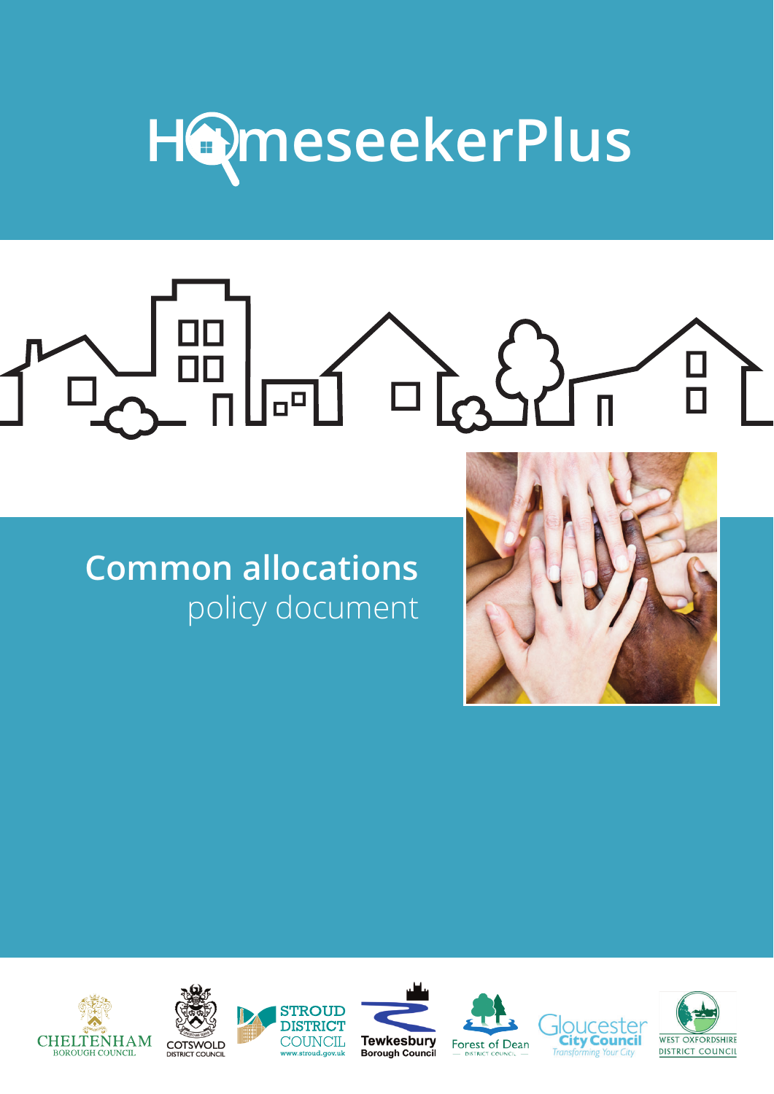# H**ameseekerPlus**

# $\sqrt{1-\frac{1}{2}}$  $\mathcal{S}_\mathsf{F}$  $\frac{\square}{\square}$

# **Common allocations**  policy document















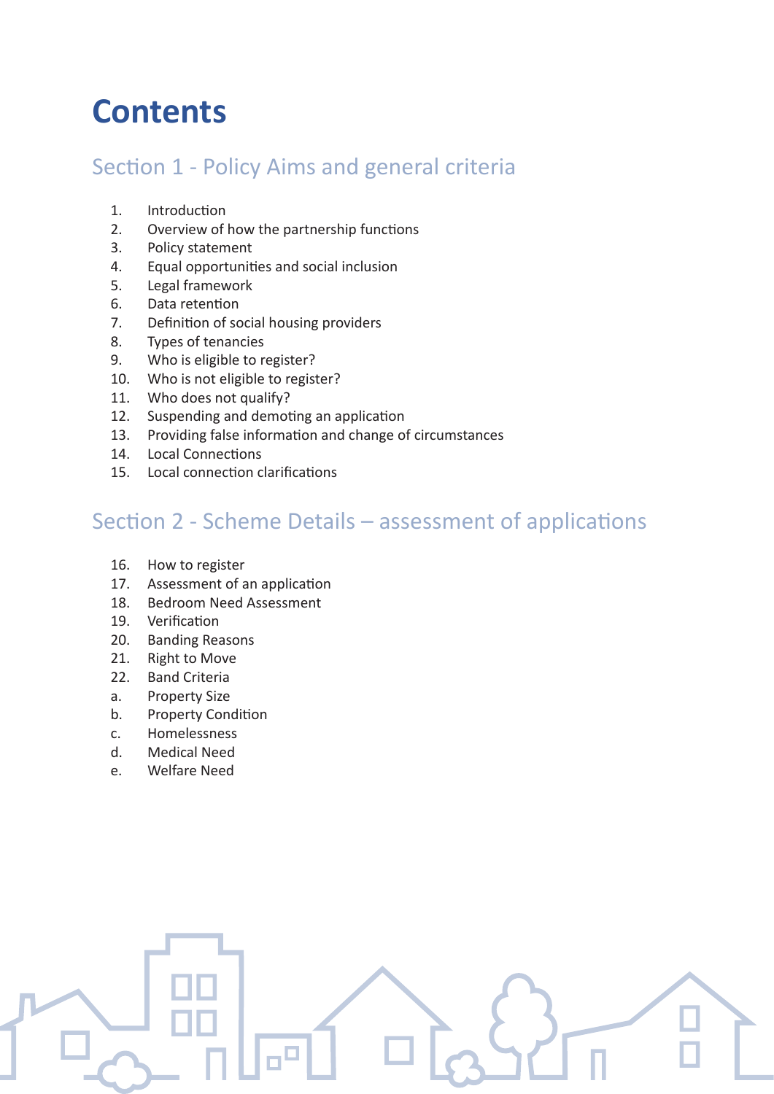# **Contents**

# Section 1 - Policy Aims and general criteria

- 1. Introduction
- 2. Overview of how the partnership functions
- 3. Policy statement
- 4. Equal opportunities and social inclusion
- 5. Legal framework
- 6. Data retention
- 7. Definition of social housing providers
- 8. Types of tenancies
- 9. Who is eligible to register?
- 10. Who is not eligible to register?
- 11. Who does not qualify?
- 12. Suspending and demoting an application
- 13. Providing false information and change of circumstances
- 14. Local Connections
- 15. Local connection clarifications

#### Section 2 - Scheme Details – assessment of applications

- 16. How to register
- 17. Assessment of an application
- 18. Bedroom Need Assessment
- 19. Verification
- 20. Banding Reasons
- 21. Right to Move
- 22. Band Criteria
- a. Property Size
- b. Property Condition
- c. Homelessness
- d. Medical Need
- e. Welfare Need

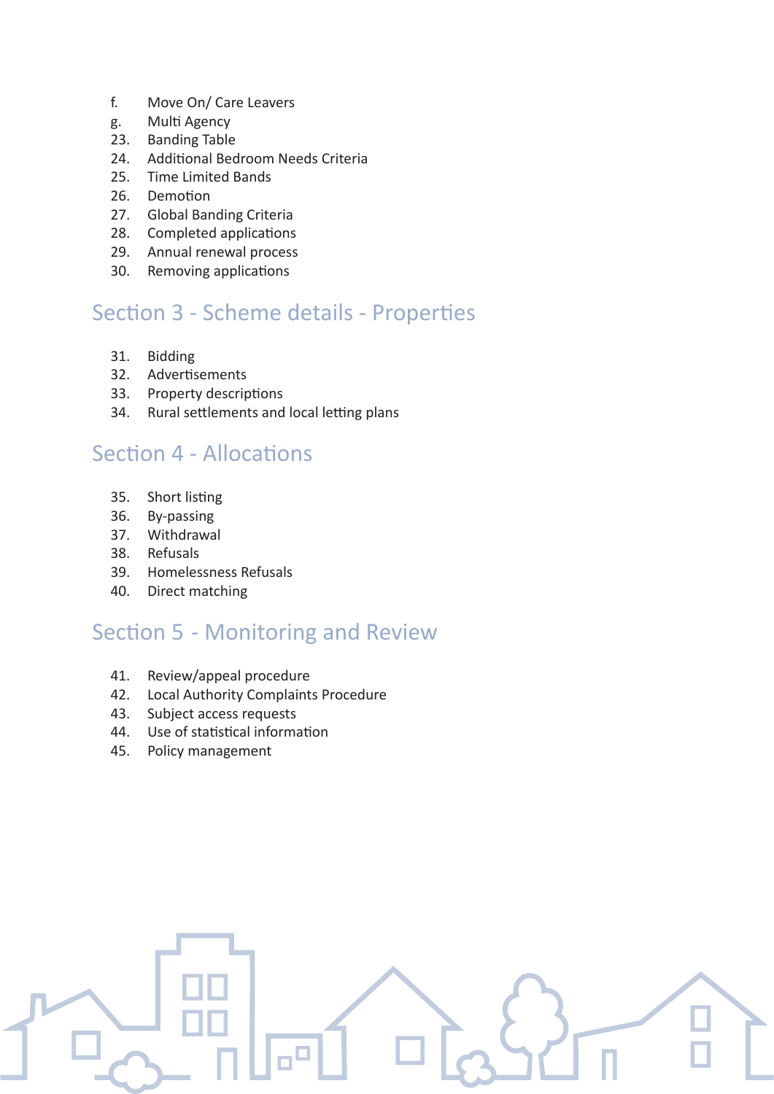- f. Move On/ Care Leavers
- g. Multi Agency
- 23. Banding Table
- 24. Additional Bedroom Needs Criteria
- 25. Time Limited Bands
- 26. Demotion
- 27. Global Banding Criteria
- 28. Completed applications
- 29. Annual renewal process
- 30. Removing applications

#### Section 3 - Scheme details - Properties

- 31. Bidding
- 32. Advertisements
- 33. Property descriptions
- 34. Rural settlements and local letting plans

#### Section 4 - Allocations

- 35. Short listing
- 36. By-passing
- 37. Withdrawal
- 38. Refusals
- 39. Homelessness Refusals
- 40. Direct matching

#### Section 5 - Monitoring and Review

- 41. Review/appeal procedure
- 42. Local Authority Complaints Procedure
- 43. Subject access requests
- 44. Use of statistical information
- 45. Policy management

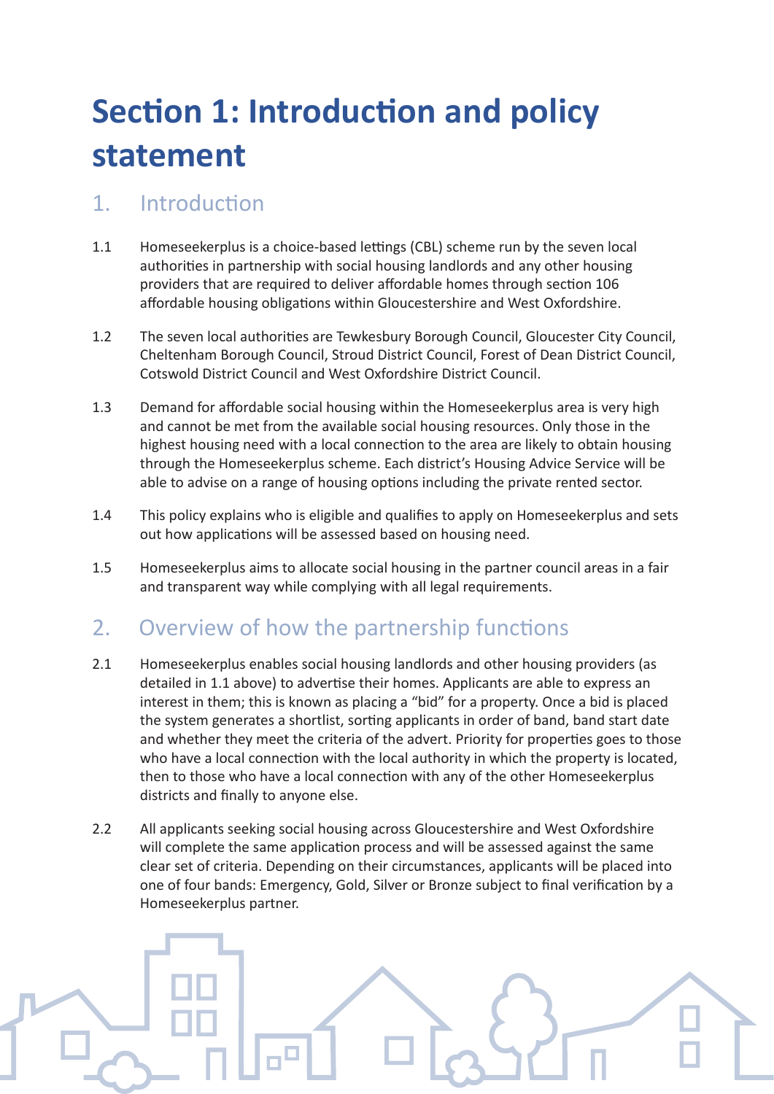# **Section 1: Introduction and policy statement**

### 1. Introduction

- 1.1 Homeseekerplus is a choice-based lettings (CBL) scheme run by the seven local authorities in partnership with social housing landlords and any other housing providers that are required to deliver affordable homes through section 106 affordable housing obligations within Gloucestershire and West Oxfordshire.
- 1.2 The seven local authorities are Tewkesbury Borough Council, Gloucester City Council, Cheltenham Borough Council, Stroud District Council, Forest of Dean District Council, Cotswold District Council and West Oxfordshire District Council.
- 1.3 Demand for affordable social housing within the Homeseekerplus area is very high and cannot be met from the available social housing resources. Only those in the highest housing need with a local connection to the area are likely to obtain housing through the Homeseekerplus scheme. Each district's Housing Advice Service will be able to advise on a range of housing options including the private rented sector.
- 1.4 This policy explains who is eligible and qualifies to apply on Homeseekerplus and sets out how applications will be assessed based on housing need.
- 1.5 Homeseekerplus aims to allocate social housing in the partner council areas in a fair and transparent way while complying with all legal requirements.

# 2. Overview of how the partnership functions

- 2.1 Homeseekerplus enables social housing landlords and other housing providers (as detailed in 1.1 above) to advertise their homes. Applicants are able to express an interest in them; this is known as placing a "bid" for a property. Once a bid is placed the system generates a shortlist, sorting applicants in order of band, band start date and whether they meet the criteria of the advert. Priority for properties goes to those who have a local connection with the local authority in which the property is located, then to those who have a local connection with any of the other Homeseekerplus districts and finally to anyone else.
- 2.2 All applicants seeking social housing across Gloucestershire and West Oxfordshire will complete the same application process and will be assessed against the same clear set of criteria. Depending on their circumstances, applicants will be placed into one of four bands: Emergency, Gold, Silver or Bronze subject to final verification by a Homeseekerplus partner.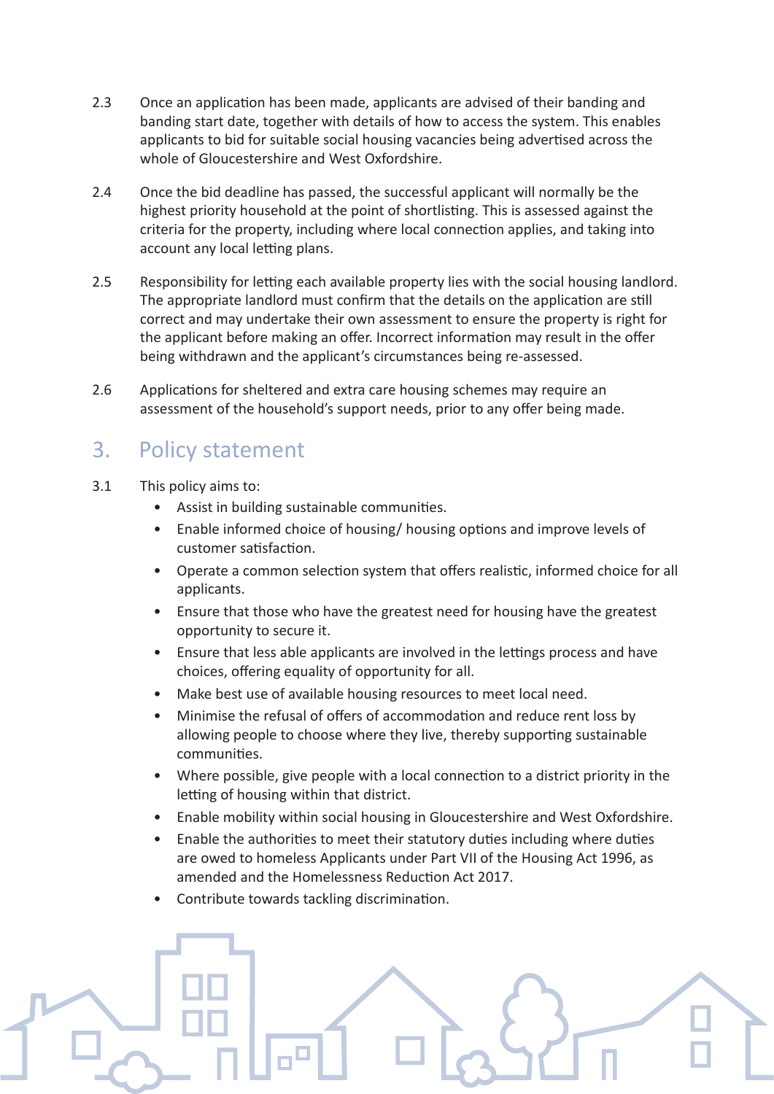- 2.3 Once an application has been made, applicants are advised of their banding and banding start date, together with details of how to access the system. This enables applicants to bid for suitable social housing vacancies being advertised across the whole of Gloucestershire and West Oxfordshire.
- 2.4 Once the bid deadline has passed, the successful applicant will normally be the highest priority household at the point of shortlisting. This is assessed against the criteria for the property, including where local connection applies, and taking into account any local letting plans.
- 2.5 Responsibility for letting each available property lies with the social housing landlord. The appropriate landlord must confirm that the details on the application are still correct and may undertake their own assessment to ensure the property is right for the applicant before making an offer. Incorrect information may result in the offer being withdrawn and the applicant's circumstances being re-assessed.
- 2.6 Applications for sheltered and extra care housing schemes may require an assessment of the household's support needs, prior to any offer being made.

#### 3. Policy statement

- 3.1 This policy aims to:
	- Assist in building sustainable communities.
	- Enable informed choice of housing/ housing options and improve levels of customer satisfaction.
	- Operate a common selection system that offers realistic, informed choice for all applicants.
	- Ensure that those who have the greatest need for housing have the greatest opportunity to secure it.
	- Ensure that less able applicants are involved in the lettings process and have choices, offering equality of opportunity for all.
	- Make best use of available housing resources to meet local need.
	- Minimise the refusal of offers of accommodation and reduce rent loss by allowing people to choose where they live, thereby supporting sustainable communities.
	- Where possible, give people with a local connection to a district priority in the letting of housing within that district.
	- Enable mobility within social housing in Gloucestershire and West Oxfordshire.
	- Enable the authorities to meet their statutory duties including where duties are owed to homeless Applicants under Part VII of the Housing Act 1996, as amended and the Homelessness Reduction Act 2017.
	- Contribute towards tackling discrimination.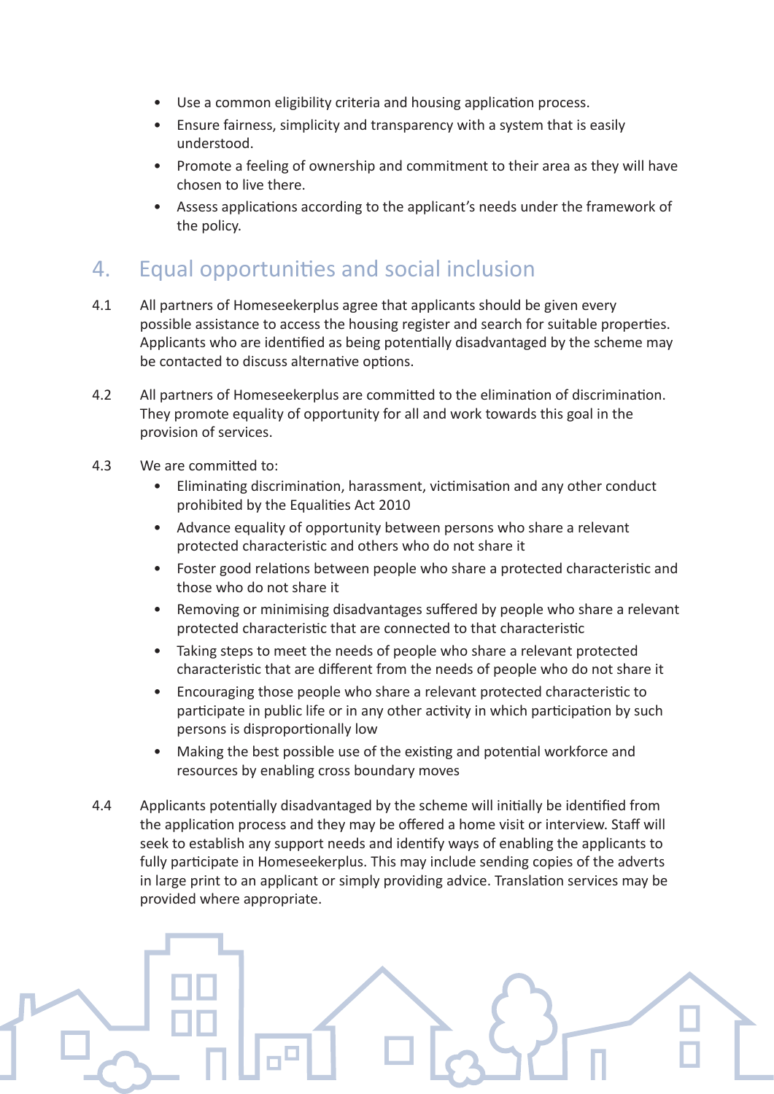- Use a common eligibility criteria and housing application process.
- Ensure fairness, simplicity and transparency with a system that is easily understood.
- Promote a feeling of ownership and commitment to their area as they will have chosen to live there.
- Assess applications according to the applicant's needs under the framework of the policy.

#### 4. Equal opportunities and social inclusion

- 4.1 All partners of Homeseekerplus agree that applicants should be given every possible assistance to access the housing register and search for suitable properties. Applicants who are identified as being potentially disadvantaged by the scheme may be contacted to discuss alternative options.
- 4.2 All partners of Homeseekerplus are committed to the elimination of discrimination. They promote equality of opportunity for all and work towards this goal in the provision of services.
- 4.3 We are committed to:
	- Eliminating discrimination, harassment, victimisation and any other conduct prohibited by the Equalities Act 2010
	- Advance equality of opportunity between persons who share a relevant protected characteristic and others who do not share it
	- Foster good relations between people who share a protected characteristic and those who do not share it
	- Removing or minimising disadvantages suffered by people who share a relevant protected characteristic that are connected to that characteristic
	- Taking steps to meet the needs of people who share a relevant protected characteristic that are different from the needs of people who do not share it
	- Encouraging those people who share a relevant protected characteristic to participate in public life or in any other activity in which participation by such persons is disproportionally low
	- Making the best possible use of the existing and potential workforce and resources by enabling cross boundary moves
- 4.4 Applicants potentially disadvantaged by the scheme will initially be identified from the application process and they may be offered a home visit or interview. Staff will seek to establish any support needs and identify ways of enabling the applicants to fully participate in Homeseekerplus. This may include sending copies of the adverts in large print to an applicant or simply providing advice. Translation services may be provided where appropriate.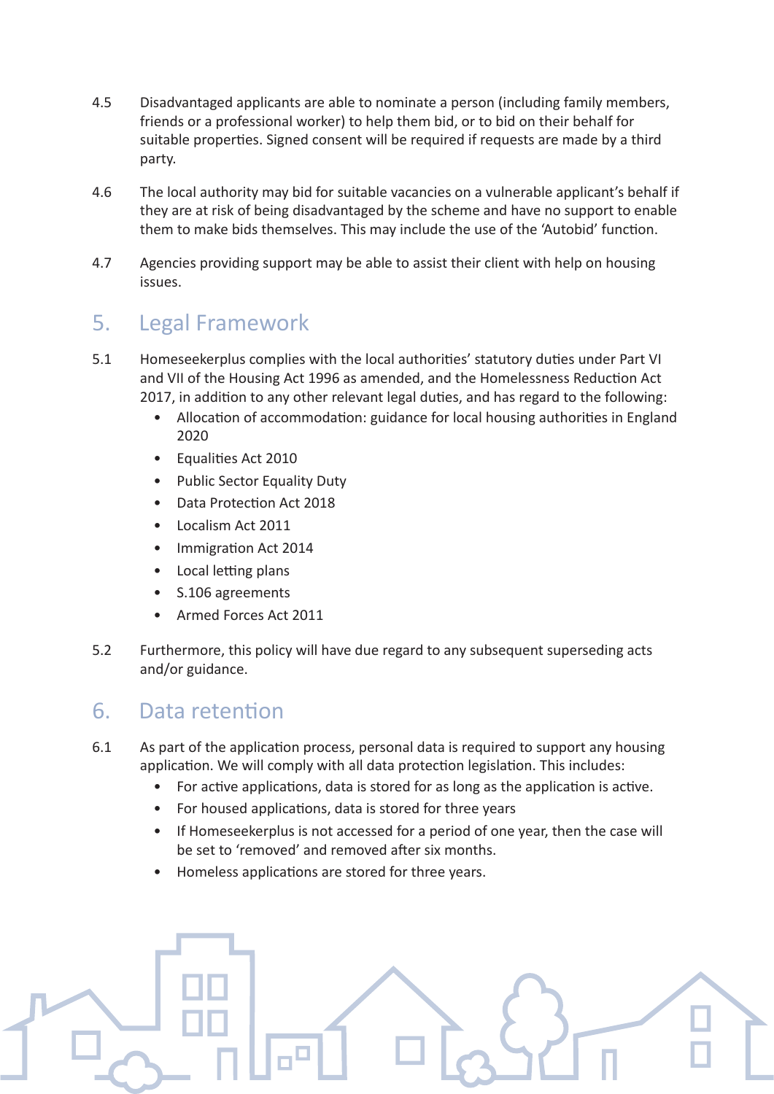- 4.5 Disadvantaged applicants are able to nominate a person (including family members, friends or a professional worker) to help them bid, or to bid on their behalf for suitable properties. Signed consent will be required if requests are made by a third party.
- 4.6 The local authority may bid for suitable vacancies on a vulnerable applicant's behalf if they are at risk of being disadvantaged by the scheme and have no support to enable them to make bids themselves. This may include the use of the 'Autobid' function.
- 4.7 Agencies providing support may be able to assist their client with help on housing issues.

### 5. Legal Framework

- 5.1 Homeseekerplus complies with the local authorities' statutory duties under Part VI and VII of the Housing Act 1996 as amended, and the Homelessness Reduction Act 2017, in addition to any other relevant legal duties, and has regard to the following:
	- Allocation of accommodation: guidance for local housing authorities in England 2020
	- Equalities Act 2010
	- Public Sector Equality Duty
	- Data Protection Act 2018
	- Localism Act 2011
	- Immigration Act 2014
	- Local letting plans
	- S.106 agreements
	- Armed Forces Act 2011
- 5.2 Furthermore, this policy will have due regard to any subsequent superseding acts and/or guidance.

#### 6. Data retention

- 6.1 As part of the application process, personal data is required to support any housing application. We will comply with all data protection legislation. This includes:
	- For active applications, data is stored for as long as the application is active.
	- For housed applications, data is stored for three years
	- If Homeseekerplus is not accessed for a period of one year, then the case will be set to 'removed' and removed after six months.
	- Homeless applications are stored for three years.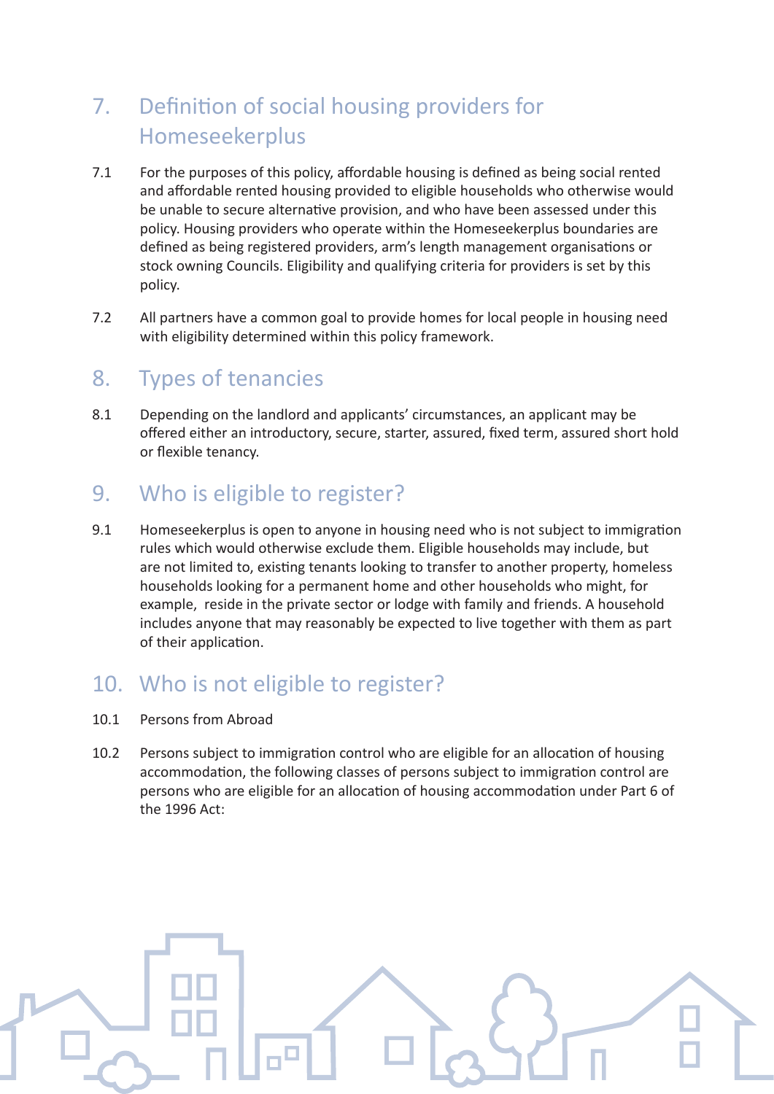# 7. Definition of social housing providers for Homeseekerplus

- 7.1 For the purposes of this policy, affordable housing is defined as being social rented and affordable rented housing provided to eligible households who otherwise would be unable to secure alternative provision, and who have been assessed under this policy. Housing providers who operate within the Homeseekerplus boundaries are defined as being registered providers, arm's length management organisations or stock owning Councils. Eligibility and qualifying criteria for providers is set by this policy.
- 7.2 All partners have a common goal to provide homes for local people in housing need with eligibility determined within this policy framework.

#### 8. Types of tenancies

8.1 Depending on the landlord and applicants' circumstances, an applicant may be offered either an introductory, secure, starter, assured, fixed term, assured short hold or flexible tenancy.

#### 9. Who is eligible to register?

9.1 Homeseekerplus is open to anyone in housing need who is not subject to immigration rules which would otherwise exclude them. Eligible households may include, but are not limited to, existing tenants looking to transfer to another property, homeless households looking for a permanent home and other households who might, for example, reside in the private sector or lodge with family and friends. A household includes anyone that may reasonably be expected to live together with them as part of their application.

#### 10. Who is not eligible to register?

- 10.1 Persons from Abroad
- 10.2 Persons subject to immigration control who are eligible for an allocation of housing accommodation, the following classes of persons subject to immigration control are persons who are eligible for an allocation of housing accommodation under Part 6 of the 1996 Act:

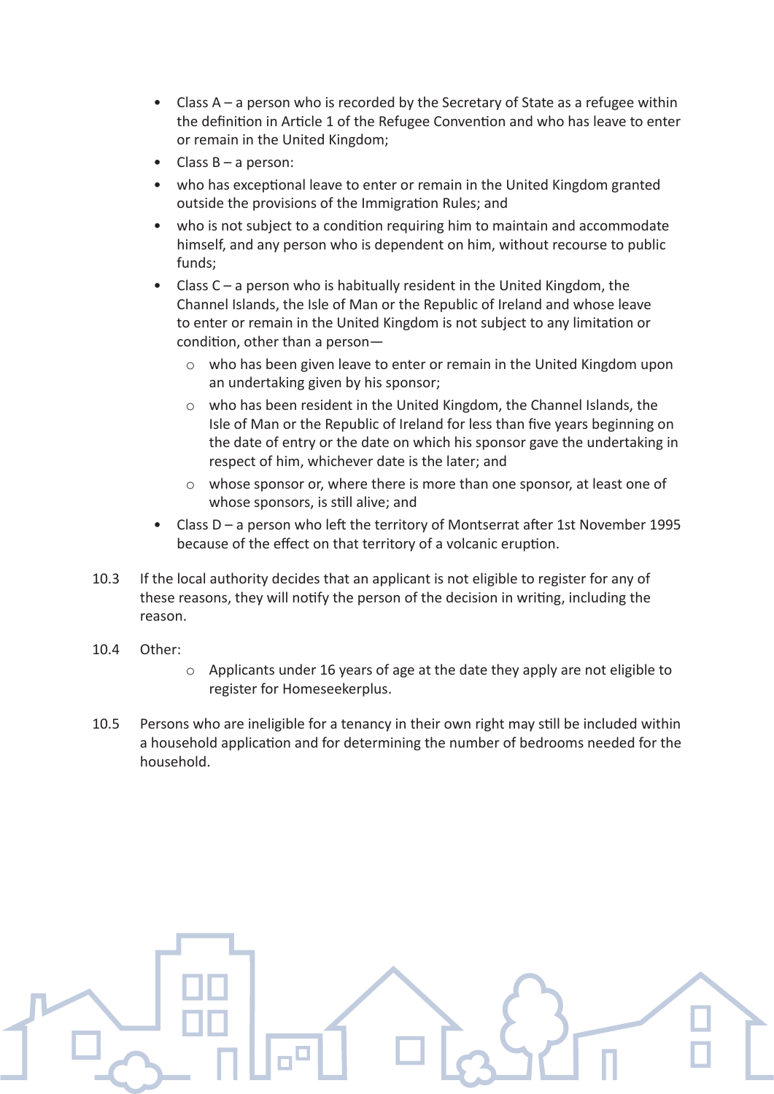- Class A a person who is recorded by the Secretary of State as a refugee within the definition in Article 1 of the Refugee Convention and who has leave to enter or remain in the United Kingdom;
- Class B a person:
- who has exceptional leave to enter or remain in the United Kingdom granted outside the provisions of the Immigration Rules; and
- who is not subject to a condition requiring him to maintain and accommodate himself, and any person who is dependent on him, without recourse to public funds;
- Class C a person who is habitually resident in the United Kingdom, the Channel Islands, the Isle of Man or the Republic of Ireland and whose leave to enter or remain in the United Kingdom is not subject to any limitation or condition, other than a person—
	- $\circ$  who has been given leave to enter or remain in the United Kingdom upon an undertaking given by his sponsor;
	- o who has been resident in the United Kingdom, the Channel Islands, the Isle of Man or the Republic of Ireland for less than five years beginning on the date of entry or the date on which his sponsor gave the undertaking in respect of him, whichever date is the later; and
	- o whose sponsor or, where there is more than one sponsor, at least one of whose sponsors, is still alive; and
- Class  $D a$  person who left the territory of Montserrat after 1st November 1995 because of the effect on that territory of a volcanic eruption.
- 10.3 If the local authority decides that an applicant is not eligible to register for any of these reasons, they will notify the person of the decision in writing, including the reason.
- 10.4 Other:
	- o Applicants under 16 years of age at the date they apply are not eligible to register for Homeseekerplus.
- 10.5 Persons who are ineligible for a tenancy in their own right may still be included within a household application and for determining the number of bedrooms needed for the household.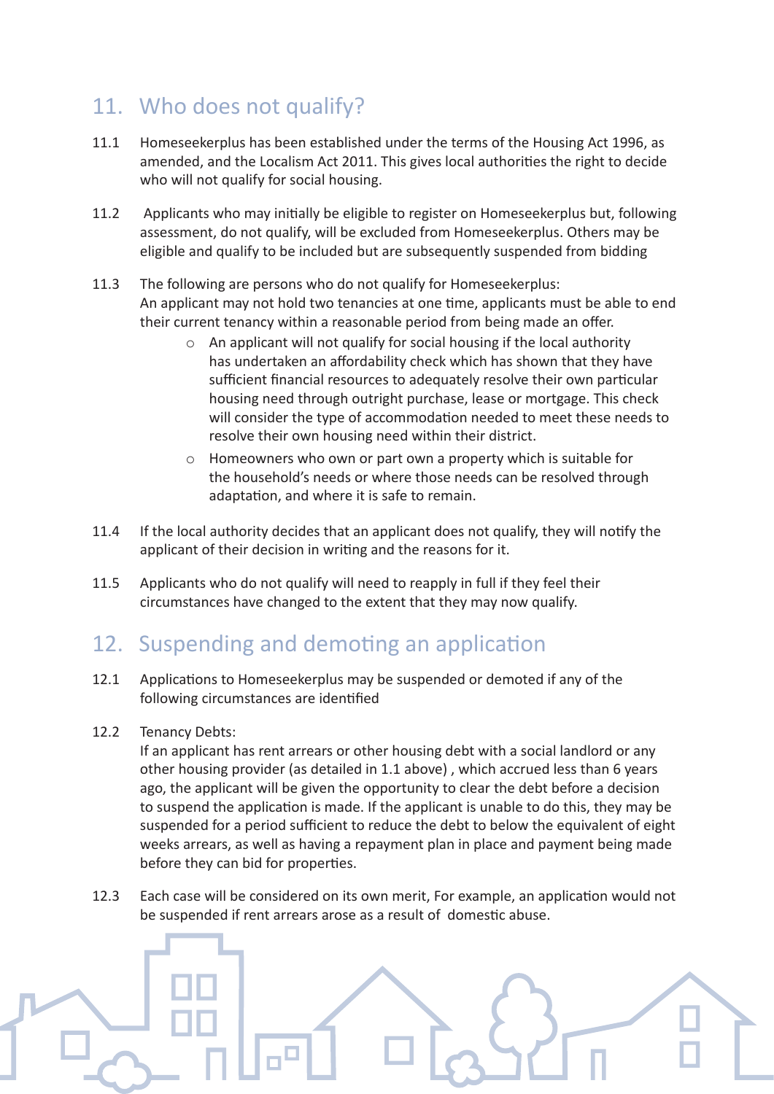# 11. Who does not qualify?

- 11.1 Homeseekerplus has been established under the terms of the Housing Act 1996, as amended, and the Localism Act 2011. This gives local authorities the right to decide who will not qualify for social housing.
- 11.2 Applicants who may initially be eligible to register on Homeseekerplus but, following assessment, do not qualify, will be excluded from Homeseekerplus. Others may be eligible and qualify to be included but are subsequently suspended from bidding
- 11.3 The following are persons who do not qualify for Homeseekerplus: An applicant may not hold two tenancies at one time, applicants must be able to end their current tenancy within a reasonable period from being made an offer.
	- o An applicant will not qualify for social housing if the local authority has undertaken an affordability check which has shown that they have sufficient financial resources to adequately resolve their own particular housing need through outright purchase, lease or mortgage. This check will consider the type of accommodation needed to meet these needs to resolve their own housing need within their district.
	- o Homeowners who own or part own a property which is suitable for the household's needs or where those needs can be resolved through adaptation, and where it is safe to remain.
- 11.4 If the local authority decides that an applicant does not qualify, they will notify the applicant of their decision in writing and the reasons for it.
- 11.5 Applicants who do not qualify will need to reapply in full if they feel their circumstances have changed to the extent that they may now qualify.

# 12. Suspending and demoting an application

12.1 Applications to Homeseekerplus may be suspended or demoted if any of the following circumstances are identified

#### 12.2 Tenancy Debts:

If an applicant has rent arrears or other housing debt with a social landlord or any other housing provider (as detailed in 1.1 above) , which accrued less than 6 years ago, the applicant will be given the opportunity to clear the debt before a decision to suspend the application is made. If the applicant is unable to do this, they may be suspended for a period sufficient to reduce the debt to below the equivalent of eight weeks arrears, as well as having a repayment plan in place and payment being made before they can bid for properties.

12.3 Each case will be considered on its own merit, For example, an application would not be suspended if rent arrears arose as a result of domestic abuse.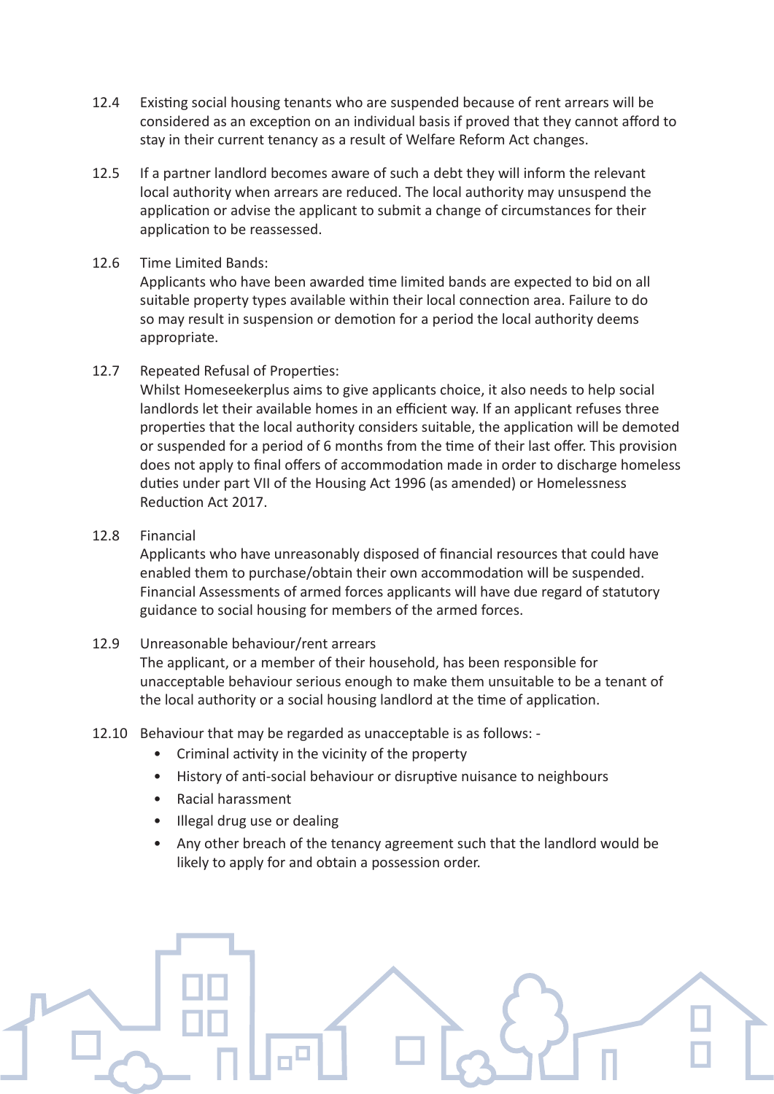- 12.4 Existing social housing tenants who are suspended because of rent arrears will be considered as an exception on an individual basis if proved that they cannot afford to stay in their current tenancy as a result of Welfare Reform Act changes.
- 12.5 If a partner landlord becomes aware of such a debt they will inform the relevant local authority when arrears are reduced. The local authority may unsuspend the application or advise the applicant to submit a change of circumstances for their application to be reassessed.
- 12.6 Time Limited Bands:

Applicants who have been awarded time limited bands are expected to bid on all suitable property types available within their local connection area. Failure to do so may result in suspension or demotion for a period the local authority deems appropriate.

12.7 Repeated Refusal of Properties:

Whilst Homeseekerplus aims to give applicants choice, it also needs to help social landlords let their available homes in an efficient way. If an applicant refuses three properties that the local authority considers suitable, the application will be demoted or suspended for a period of 6 months from the time of their last offer. This provision does not apply to final offers of accommodation made in order to discharge homeless duties under part VII of the Housing Act 1996 (as amended) or Homelessness Reduction Act 2017.

12.8 Financial

Applicants who have unreasonably disposed of financial resources that could have enabled them to purchase/obtain their own accommodation will be suspended. Financial Assessments of armed forces applicants will have due regard of statutory guidance to social housing for members of the armed forces.

12.9 Unreasonable behaviour/rent arrears

The applicant, or a member of their household, has been responsible for unacceptable behaviour serious enough to make them unsuitable to be a tenant of the local authority or a social housing landlord at the time of application.

- 12.10 Behaviour that may be regarded as unacceptable is as follows:
	- Criminal activity in the vicinity of the property
	- History of anti-social behaviour or disruptive nuisance to neighbours
	- Racial harassment
	- Illegal drug use or dealing
	- Any other breach of the tenancy agreement such that the landlord would be likely to apply for and obtain a possession order.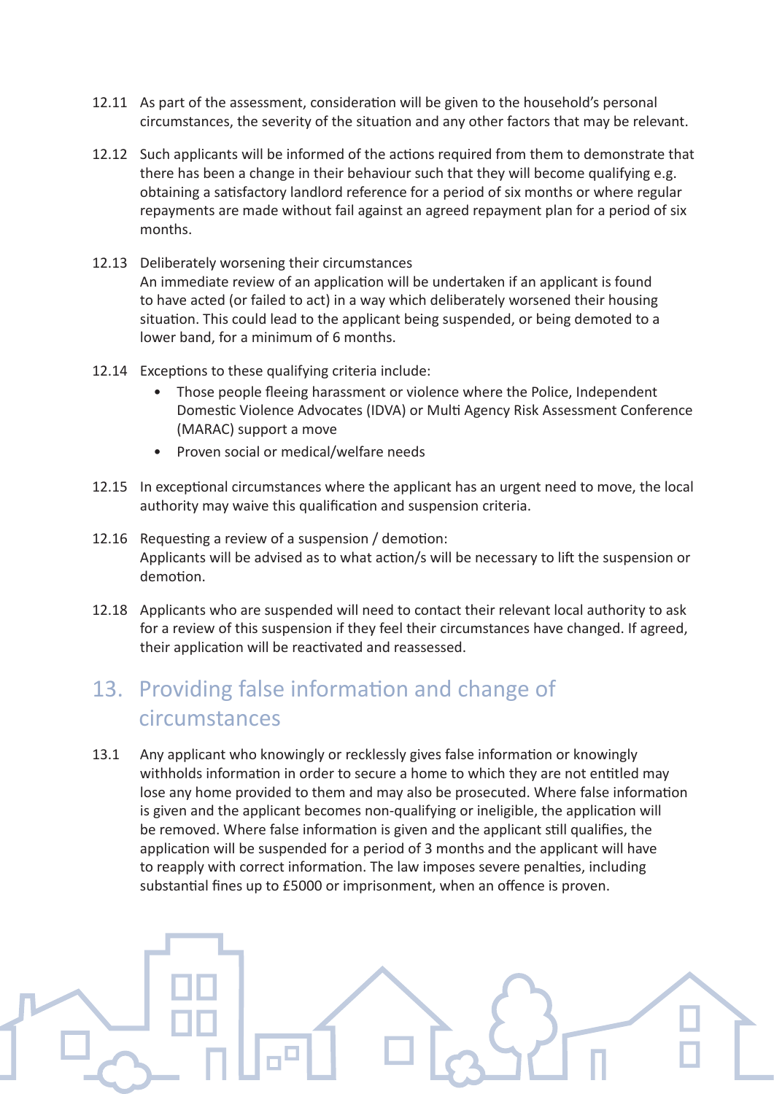- 12.11 As part of the assessment, consideration will be given to the household's personal circumstances, the severity of the situation and any other factors that may be relevant.
- 12.12 Such applicants will be informed of the actions required from them to demonstrate that there has been a change in their behaviour such that they will become qualifying e.g. obtaining a satisfactory landlord reference for a period of six months or where regular repayments are made without fail against an agreed repayment plan for a period of six months.
- 12.13 Deliberately worsening their circumstances An immediate review of an application will be undertaken if an applicant is found to have acted (or failed to act) in a way which deliberately worsened their housing situation. This could lead to the applicant being suspended, or being demoted to a lower band, for a minimum of 6 months.
- 12.14 Exceptions to these qualifying criteria include:
	- Those people fleeing harassment or violence where the Police, Independent Domestic Violence Advocates (IDVA) or Multi Agency Risk Assessment Conference (MARAC) support a move
	- Proven social or medical/welfare needs
- 12.15 In exceptional circumstances where the applicant has an urgent need to move, the local authority may waive this qualification and suspension criteria.
- 12.16 Requesting a review of a suspension / demotion: Applicants will be advised as to what action/s will be necessary to lift the suspension or demotion.
- 12.18 Applicants who are suspended will need to contact their relevant local authority to ask for a review of this suspension if they feel their circumstances have changed. If agreed, their application will be reactivated and reassessed.

# 13. Providing false information and change of circumstances

13.1 Any applicant who knowingly or recklessly gives false information or knowingly withholds information in order to secure a home to which they are not entitled may lose any home provided to them and may also be prosecuted. Where false information is given and the applicant becomes non-qualifying or ineligible, the application will be removed. Where false information is given and the applicant still qualifies, the application will be suspended for a period of 3 months and the applicant will have to reapply with correct information. The law imposes severe penalties, including substantial fines up to £5000 or imprisonment, when an offence is proven.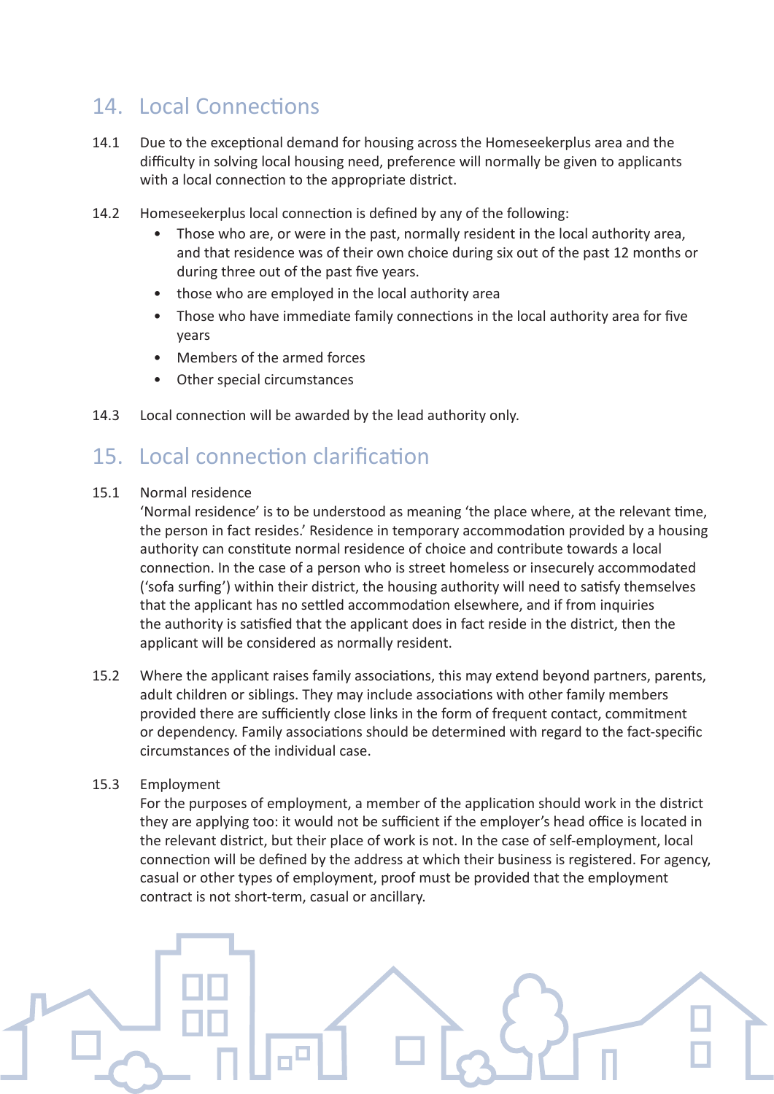### 14. Local Connections

- 14.1 Due to the exceptional demand for housing across the Homeseekerplus area and the difficulty in solving local housing need, preference will normally be given to applicants with a local connection to the appropriate district.
- 14.2 Homeseekerplus local connection is defined by any of the following:
	- Those who are, or were in the past, normally resident in the local authority area, and that residence was of their own choice during six out of the past 12 months or during three out of the past five years.
	- those who are employed in the local authority area
	- Those who have immediate family connections in the local authority area for five years
	- Members of the armed forces
	- Other special circumstances
- 14.3 Local connection will be awarded by the lead authority only.

### 15. Local connection clarification

#### 15.1 Normal residence

'Normal residence' is to be understood as meaning 'the place where, at the relevant time, the person in fact resides.' Residence in temporary accommodation provided by a housing authority can constitute normal residence of choice and contribute towards a local connection. In the case of a person who is street homeless or insecurely accommodated ('sofa surfing') within their district, the housing authority will need to satisfy themselves that the applicant has no settled accommodation elsewhere, and if from inquiries the authority is satisfied that the applicant does in fact reside in the district, then the applicant will be considered as normally resident.

15.2 Where the applicant raises family associations, this may extend beyond partners, parents, adult children or siblings. They may include associations with other family members provided there are sufficiently close links in the form of frequent contact, commitment or dependency. Family associations should be determined with regard to the fact-specific circumstances of the individual case.

#### 15.3 Employment

For the purposes of employment, a member of the application should work in the district they are applying too: it would not be sufficient if the employer's head office is located in the relevant district, but their place of work is not. In the case of self-employment, local connection will be defined by the address at which their business is registered. For agency, casual or other types of employment, proof must be provided that the employment contract is not short-term, casual or ancillary.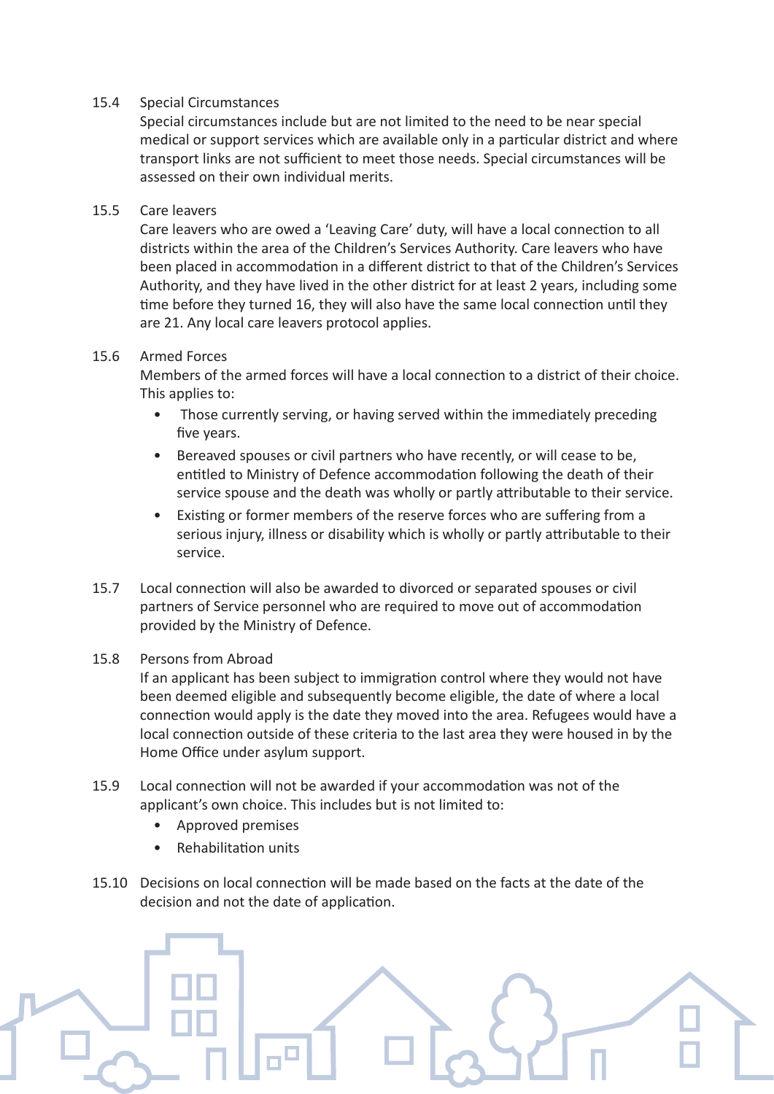#### 15.4 Special Circumstances

Special circumstances include but are not limited to the need to be near special medical or support services which are available only in a particular district and where transport links are not sufficient to meet those needs. Special circumstances will be assessed on their own individual merits.

#### 15.5 Care leavers

Care leavers who are owed a 'Leaving Care' duty, will have a local connection to all districts within the area of the Children's Services Authority. Care leavers who have been placed in accommodation in a different district to that of the Children's Services Authority, and they have lived in the other district for at least 2 years, including some time before they turned 16, they will also have the same local connection until they are 21. Any local care leavers protocol applies.

#### 15.6 Armed Forces

Members of the armed forces will have a local connection to a district of their choice. This applies to:

- Those currently serving, or having served within the immediately preceding five years.
- Bereaved spouses or civil partners who have recently, or will cease to be, entitled to Ministry of Defence accommodation following the death of their service spouse and the death was wholly or partly attributable to their service.
- Existing or former members of the reserve forces who are suffering from a serious injury, illness or disability which is wholly or partly attributable to their service.
- 15.7 Local connection will also be awarded to divorced or separated spouses or civil partners of Service personnel who are required to move out of accommodation provided by the Ministry of Defence.

#### 15.8 Persons from Abroad

If an applicant has been subject to immigration control where they would not have been deemed eligible and subsequently become eligible, the date of where a local connection would apply is the date they moved into the area. Refugees would have a local connection outside of these criteria to the last area they were housed in by the Home Office under asylum support.

- 15.9 Local connection will not be awarded if your accommodation was not of the applicant's own choice. This includes but is not limited to:
	- Approved premises
	- Rehabilitation units
- 15.10 Decisions on local connection will be made based on the facts at the date of the decision and not the date of application.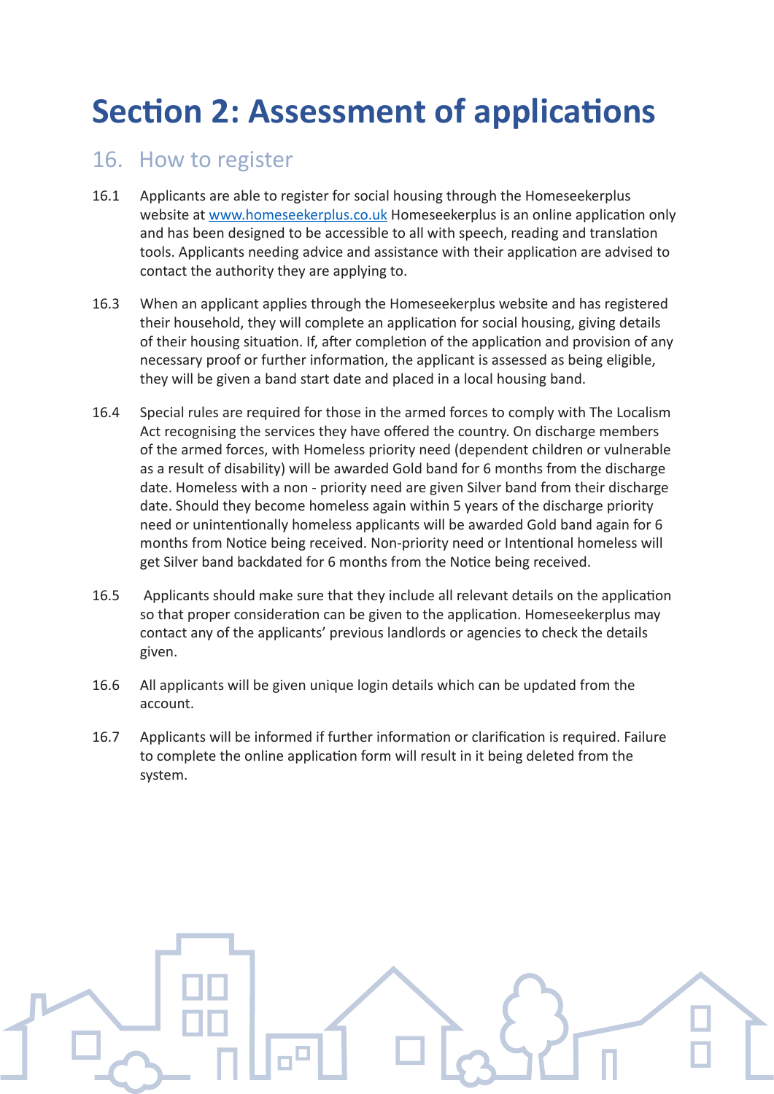# **Section 2: Assessment of applications**

#### 16. How to register

- 16.1 Applicants are able to register for social housing through the Homeseekerplus website at www.homeseekerplus.co.uk Homeseekerplus is an online application only and has been designed to be accessible to all with speech, reading and translation tools. Applicants needing advice and assistance with their application are advised to contact the authority they are applying to.
- 16.3 When an applicant applies through the Homeseekerplus website and has registered their household, they will complete an application for social housing, giving details of their housing situation. If, after completion of the application and provision of any necessary proof or further information, the applicant is assessed as being eligible, they will be given a band start date and placed in a local housing band.
- 16.4 Special rules are required for those in the armed forces to comply with The Localism Act recognising the services they have offered the country. On discharge members of the armed forces, with Homeless priority need (dependent children or vulnerable as a result of disability) will be awarded Gold band for 6 months from the discharge date. Homeless with a non - priority need are given Silver band from their discharge date. Should they become homeless again within 5 years of the discharge priority need or unintentionally homeless applicants will be awarded Gold band again for 6 months from Notice being received. Non-priority need or Intentional homeless will get Silver band backdated for 6 months from the Notice being received.
- 16.5 Applicants should make sure that they include all relevant details on the application so that proper consideration can be given to the application. Homeseekerplus may contact any of the applicants' previous landlords or agencies to check the details given.
- 16.6 All applicants will be given unique login details which can be updated from the account.
- 16.7 Applicants will be informed if further information or clarification is required. Failure to complete the online application form will result in it being deleted from the system.

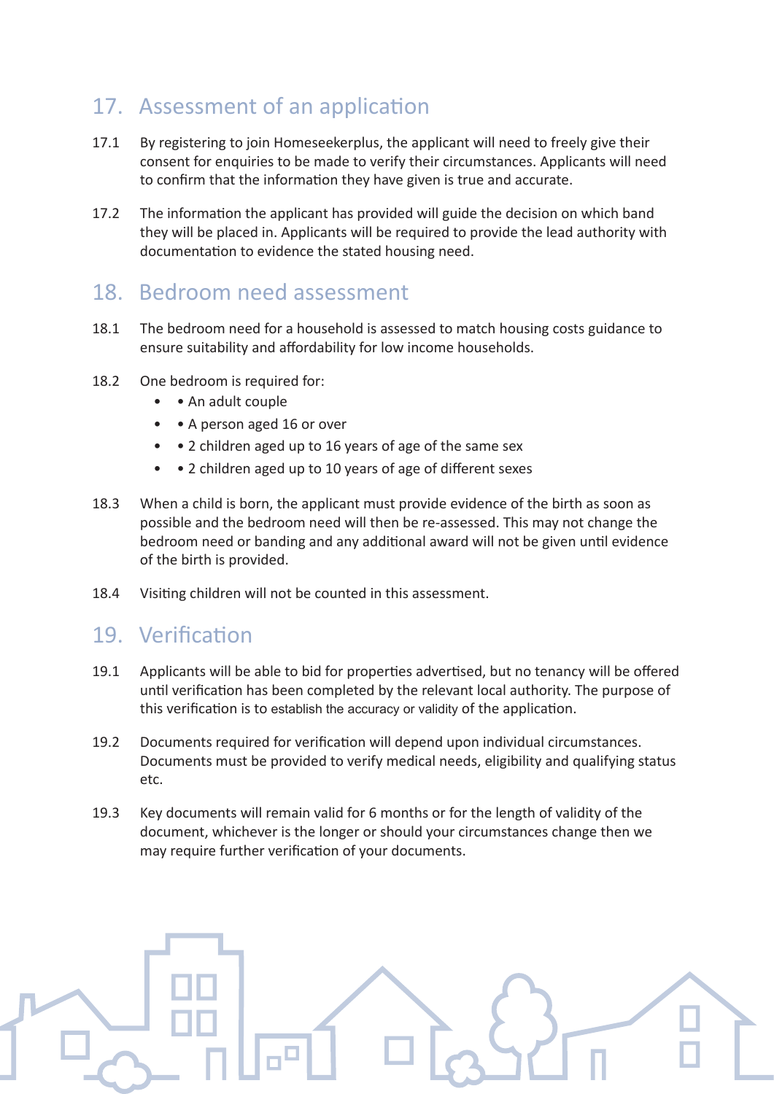# 17. Assessment of an application

- 17.1 By registering to join Homeseekerplus, the applicant will need to freely give their consent for enquiries to be made to verify their circumstances. Applicants will need to confirm that the information they have given is true and accurate.
- 17.2 The information the applicant has provided will guide the decision on which band they will be placed in. Applicants will be required to provide the lead authority with documentation to evidence the stated housing need.

#### 18. Bedroom need assessment

- 18.1 The bedroom need for a household is assessed to match housing costs guidance to ensure suitability and affordability for low income households.
- 18.2 One bedroom is required for:
	- • An adult couple
	- • A person aged 16 or over
	- • 2 children aged up to 16 years of age of the same sex
	- • 2 children aged up to 10 years of age of different sexes
- 18.3 When a child is born, the applicant must provide evidence of the birth as soon as possible and the bedroom need will then be re-assessed. This may not change the bedroom need or banding and any additional award will not be given until evidence of the birth is provided.
- 18.4 Visiting children will not be counted in this assessment.

#### 19. Verification

- 19.1 Applicants will be able to bid for properties advertised, but no tenancy will be offered until verification has been completed by the relevant local authority. The purpose of this verification is to establish the accuracy or validity of the application.
- 19.2 Documents required for verification will depend upon individual circumstances. Documents must be provided to verify medical needs, eligibility and qualifying status etc.
- 19.3 Key documents will remain valid for 6 months or for the length of validity of the document, whichever is the longer or should your circumstances change then we may require further verification of your documents.

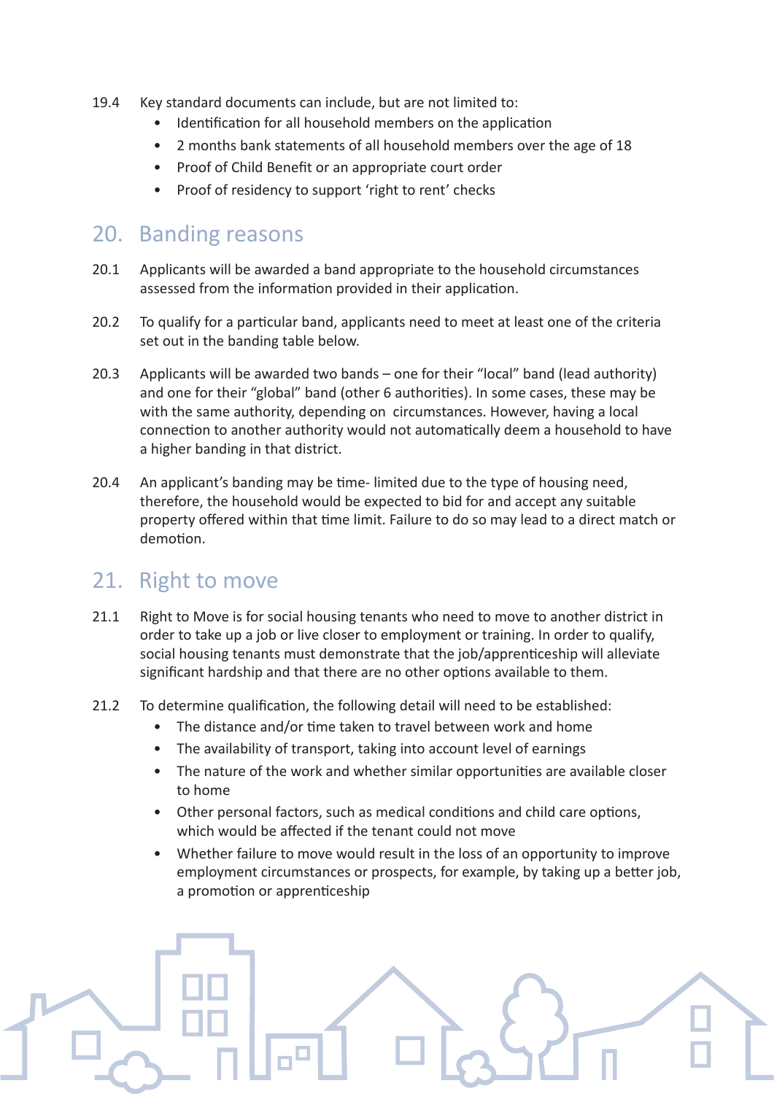- 19.4 Key standard documents can include, but are not limited to:
	- Identification for all household members on the application
	- 2 months bank statements of all household members over the age of 18
	- Proof of Child Benefit or an appropriate court order
	- Proof of residency to support 'right to rent' checks

#### 20. Banding reasons

- 20.1 Applicants will be awarded a band appropriate to the household circumstances assessed from the information provided in their application.
- 20.2 To qualify for a particular band, applicants need to meet at least one of the criteria set out in the banding table below.
- 20.3 Applicants will be awarded two bands one for their "local" band (lead authority) and one for their "global" band (other 6 authorities). In some cases, these may be with the same authority, depending on circumstances. However, having a local connection to another authority would not automatically deem a household to have a higher banding in that district.
- 20.4 An applicant's banding may be time- limited due to the type of housing need, therefore, the household would be expected to bid for and accept any suitable property offered within that time limit. Failure to do so may lead to a direct match or demotion.

#### 21. Right to move

- 21.1 Right to Move is for social housing tenants who need to move to another district in order to take up a job or live closer to employment or training. In order to qualify, social housing tenants must demonstrate that the job/apprenticeship will alleviate significant hardship and that there are no other options available to them.
- 21.2 To determine qualification, the following detail will need to be established:
	- The distance and/or time taken to travel between work and home
	- The availability of transport, taking into account level of earnings
	- The nature of the work and whether similar opportunities are available closer to home
	- Other personal factors, such as medical conditions and child care options, which would be affected if the tenant could not move
	- Whether failure to move would result in the loss of an opportunity to improve employment circumstances or prospects, for example, by taking up a better job, a promotion or apprenticeship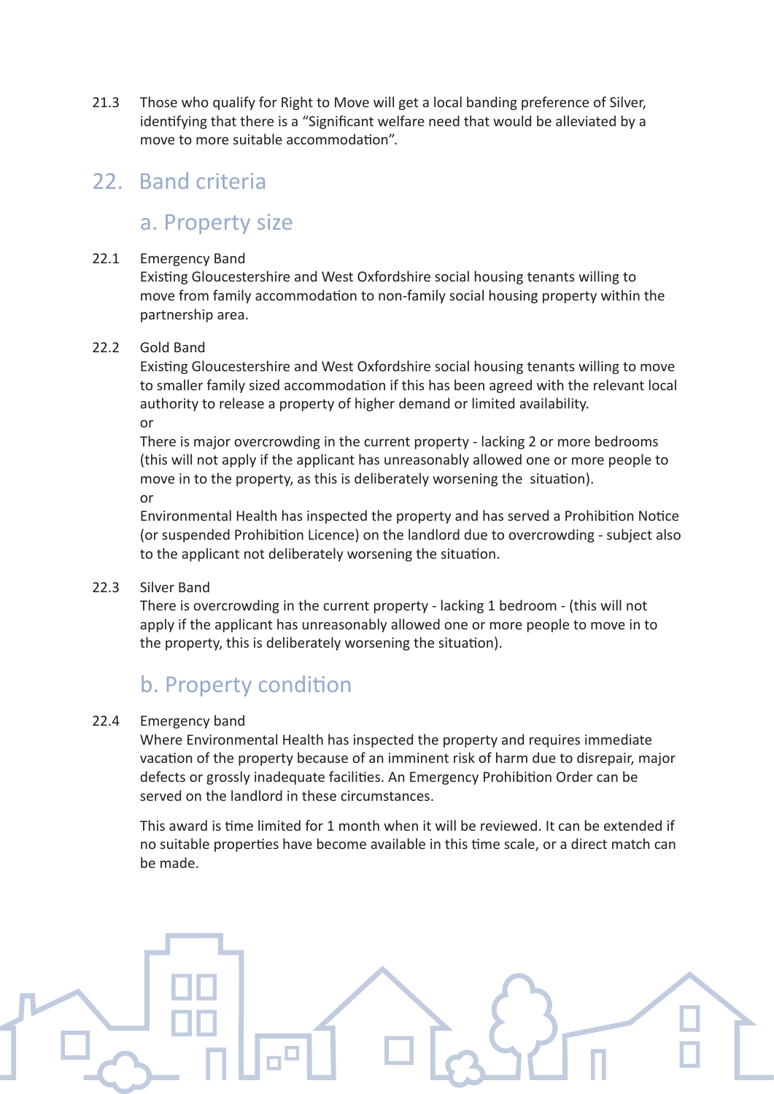21.3 Those who qualify for Right to Move will get a local banding preference of Silver, identifying that there is a "Significant welfare need that would be alleviated by a move to more suitable accommodation".

#### 22. Band criteria

#### a. Property size

#### 22.1 Emergency Band

Existing Gloucestershire and West Oxfordshire social housing tenants willing to move from family accommodation to non-family social housing property within the partnership area.

#### 22.2 Gold Band

Existing Gloucestershire and West Oxfordshire social housing tenants willing to move to smaller family sized accommodation if this has been agreed with the relevant local authority to release a property of higher demand or limited availability. or

There is major overcrowding in the current property - lacking 2 or more bedrooms (this will not apply if the applicant has unreasonably allowed one or more people to move in to the property, as this is deliberately worsening the situation). or

Environmental Health has inspected the property and has served a Prohibition Notice (or suspended Prohibition Licence) on the landlord due to overcrowding - subject also to the applicant not deliberately worsening the situation.

#### 22.3 Silver Band

There is overcrowding in the current property - lacking 1 bedroom - (this will not apply if the applicant has unreasonably allowed one or more people to move in to the property, this is deliberately worsening the situation).

#### b. Property condition

#### 22.4 Emergency band

Where Environmental Health has inspected the property and requires immediate vacation of the property because of an imminent risk of harm due to disrepair, major defects or grossly inadequate facilities. An Emergency Prohibition Order can be served on the landlord in these circumstances.

This award is time limited for 1 month when it will be reviewed. It can be extended if no suitable properties have become available in this time scale, or a direct match can be made.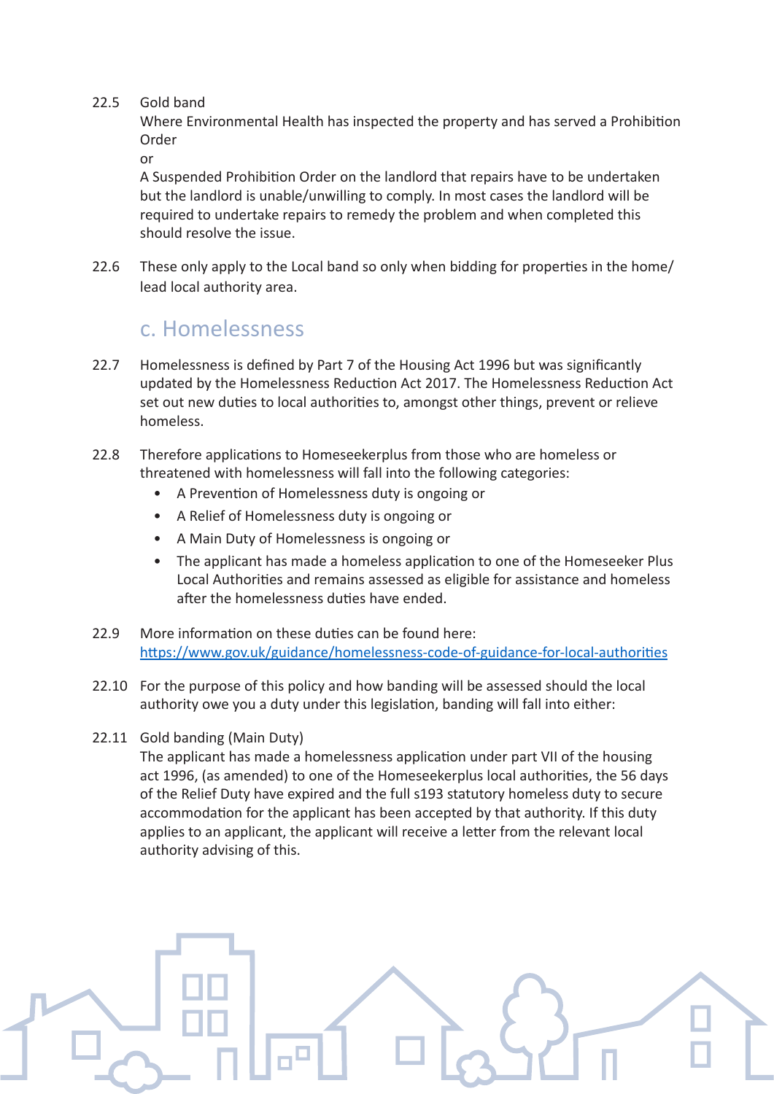22.5 Gold band

Where Environmental Health has inspected the property and has served a Prohibition Order

or

A Suspended Prohibition Order on the landlord that repairs have to be undertaken but the landlord is unable/unwilling to comply. In most cases the landlord will be required to undertake repairs to remedy the problem and when completed this should resolve the issue.

22.6 These only apply to the Local band so only when bidding for properties in the home/ lead local authority area.

#### c. Homelessness

- 22.7 Homelessness is defined by Part 7 of the Housing Act 1996 but was significantly updated by the Homelessness Reduction Act 2017. The Homelessness Reduction Act set out new duties to local authorities to, amongst other things, prevent or relieve homeless.
- 22.8 Therefore applications to Homeseekerplus from those who are homeless or threatened with homelessness will fall into the following categories:
	- A Prevention of Homelessness duty is ongoing or
	- A Relief of Homelessness duty is ongoing or
	- A Main Duty of Homelessness is ongoing or
	- The applicant has made a homeless application to one of the Homeseeker Plus Local Authorities and remains assessed as eligible for assistance and homeless after the homelessness duties have ended.
- 22.9 More information on these duties can be found here: https://www.gov.uk/guidance/homelessness-code-of-guidance-for-local-authorities
- 22.10 For the purpose of this policy and how banding will be assessed should the local authority owe you a duty under this legislation, banding will fall into either:
- 22.11 Gold banding (Main Duty)

The applicant has made a homelessness application under part VII of the housing act 1996, (as amended) to one of the Homeseekerplus local authorities, the 56 days of the Relief Duty have expired and the full s193 statutory homeless duty to secure accommodation for the applicant has been accepted by that authority. If this duty applies to an applicant, the applicant will receive a letter from the relevant local authority advising of this.

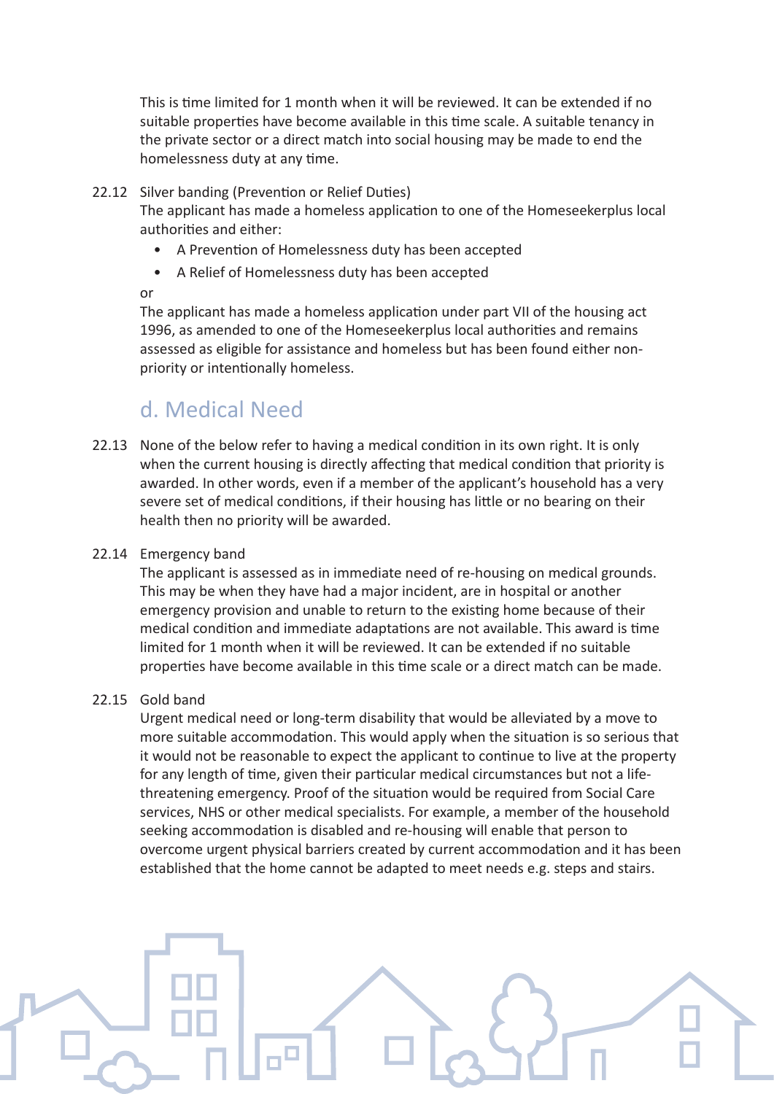This is time limited for 1 month when it will be reviewed. It can be extended if no suitable properties have become available in this time scale. A suitable tenancy in the private sector or a direct match into social housing may be made to end the homelessness duty at any time.

22.12 Silver banding (Prevention or Relief Duties)

The applicant has made a homeless application to one of the Homeseekerplus local authorities and either:

- A Prevention of Homelessness duty has been accepted
- A Relief of Homelessness duty has been accepted

or

The applicant has made a homeless application under part VII of the housing act 1996, as amended to one of the Homeseekerplus local authorities and remains assessed as eligible for assistance and homeless but has been found either nonpriority or intentionally homeless.

### d. Medical Need

22.13 None of the below refer to having a medical condition in its own right. It is only when the current housing is directly affecting that medical condition that priority is awarded. In other words, even if a member of the applicant's household has a very severe set of medical conditions, if their housing has little or no bearing on their health then no priority will be awarded.

#### 22.14 Emergency band

The applicant is assessed as in immediate need of re-housing on medical grounds. This may be when they have had a major incident, are in hospital or another emergency provision and unable to return to the existing home because of their medical condition and immediate adaptations are not available. This award is time limited for 1 month when it will be reviewed. It can be extended if no suitable properties have become available in this time scale or a direct match can be made.

22.15 Gold band

Urgent medical need or long-term disability that would be alleviated by a move to more suitable accommodation. This would apply when the situation is so serious that it would not be reasonable to expect the applicant to continue to live at the property for any length of time, given their particular medical circumstances but not a lifethreatening emergency. Proof of the situation would be required from Social Care services, NHS or other medical specialists. For example, a member of the household seeking accommodation is disabled and re-housing will enable that person to overcome urgent physical barriers created by current accommodation and it has been established that the home cannot be adapted to meet needs e.g. steps and stairs.

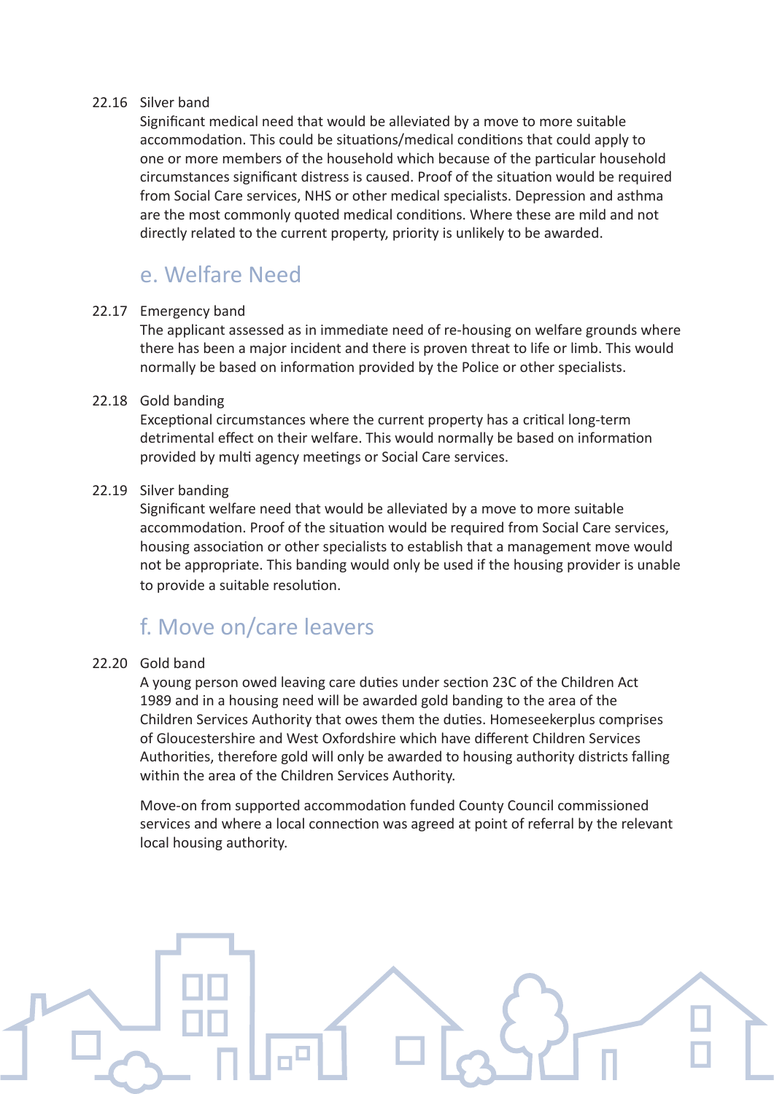#### 22.16 Silver band

Significant medical need that would be alleviated by a move to more suitable accommodation. This could be situations/medical conditions that could apply to one or more members of the household which because of the particular household circumstances significant distress is caused. Proof of the situation would be required from Social Care services, NHS or other medical specialists. Depression and asthma are the most commonly quoted medical conditions. Where these are mild and not directly related to the current property, priority is unlikely to be awarded.

#### e. Welfare Need

#### 22.17 Emergency band

The applicant assessed as in immediate need of re-housing on welfare grounds where there has been a major incident and there is proven threat to life or limb. This would normally be based on information provided by the Police or other specialists.

#### 22.18 Gold banding

Exceptional circumstances where the current property has a critical long-term detrimental effect on their welfare. This would normally be based on information provided by multi agency meetings or Social Care services.

#### 22.19 Silver banding

Significant welfare need that would be alleviated by a move to more suitable accommodation. Proof of the situation would be required from Social Care services, housing association or other specialists to establish that a management move would not be appropriate. This banding would only be used if the housing provider is unable to provide a suitable resolution.

#### f. Move on/care leavers

#### 22.20 Gold band

A young person owed leaving care duties under section 23C of the Children Act 1989 and in a housing need will be awarded gold banding to the area of the Children Services Authority that owes them the duties. Homeseekerplus comprises of Gloucestershire and West Oxfordshire which have different Children Services Authorities, therefore gold will only be awarded to housing authority districts falling within the area of the Children Services Authority.

Move-on from supported accommodation funded County Council commissioned services and where a local connection was agreed at point of referral by the relevant local housing authority.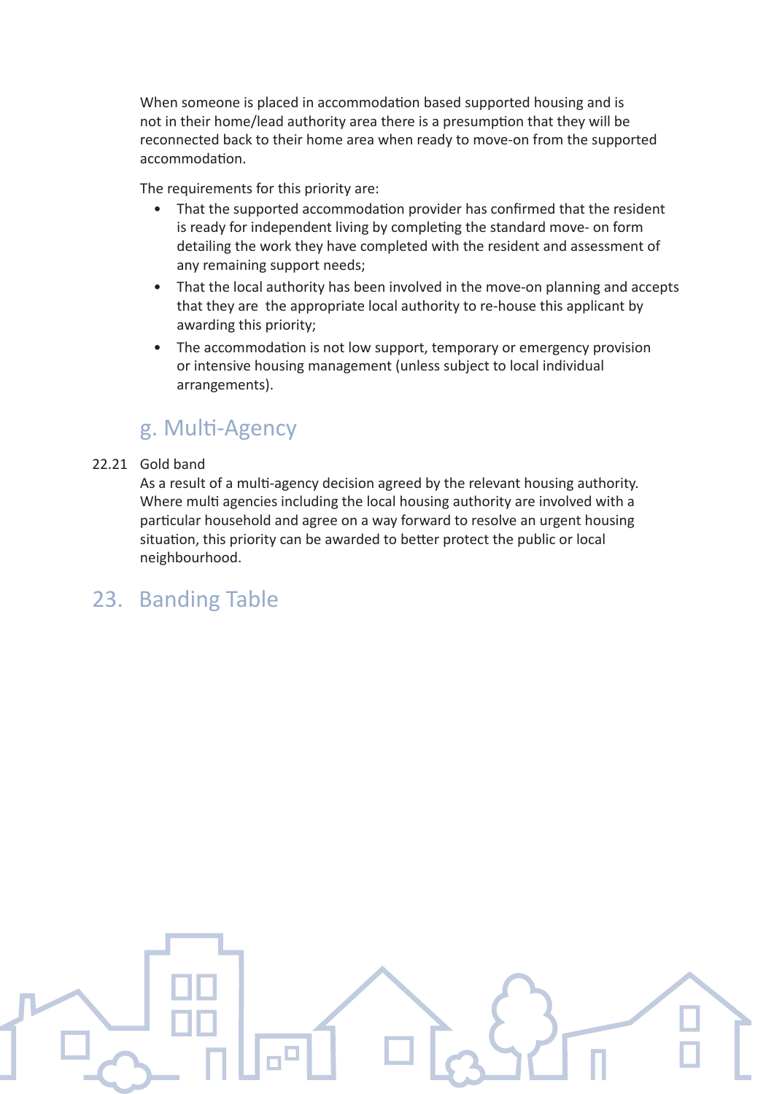When someone is placed in accommodation based supported housing and is not in their home/lead authority area there is a presumption that they will be reconnected back to their home area when ready to move-on from the supported accommodation.

The requirements for this priority are:

- That the supported accommodation provider has confirmed that the resident is ready for independent living by completing the standard move- on form detailing the work they have completed with the resident and assessment of any remaining support needs;
- That the local authority has been involved in the move-on planning and accepts that they are the appropriate local authority to re-house this applicant by awarding this priority;
- The accommodation is not low support, temporary or emergency provision or intensive housing management (unless subject to local individual arrangements).

#### g. Multi-Agency

#### 22.21 Gold band

As a result of a multi-agency decision agreed by the relevant housing authority. Where multi agencies including the local housing authority are involved with a particular household and agree on a way forward to resolve an urgent housing situation, this priority can be awarded to better protect the public or local neighbourhood.

#### 23. Banding Table

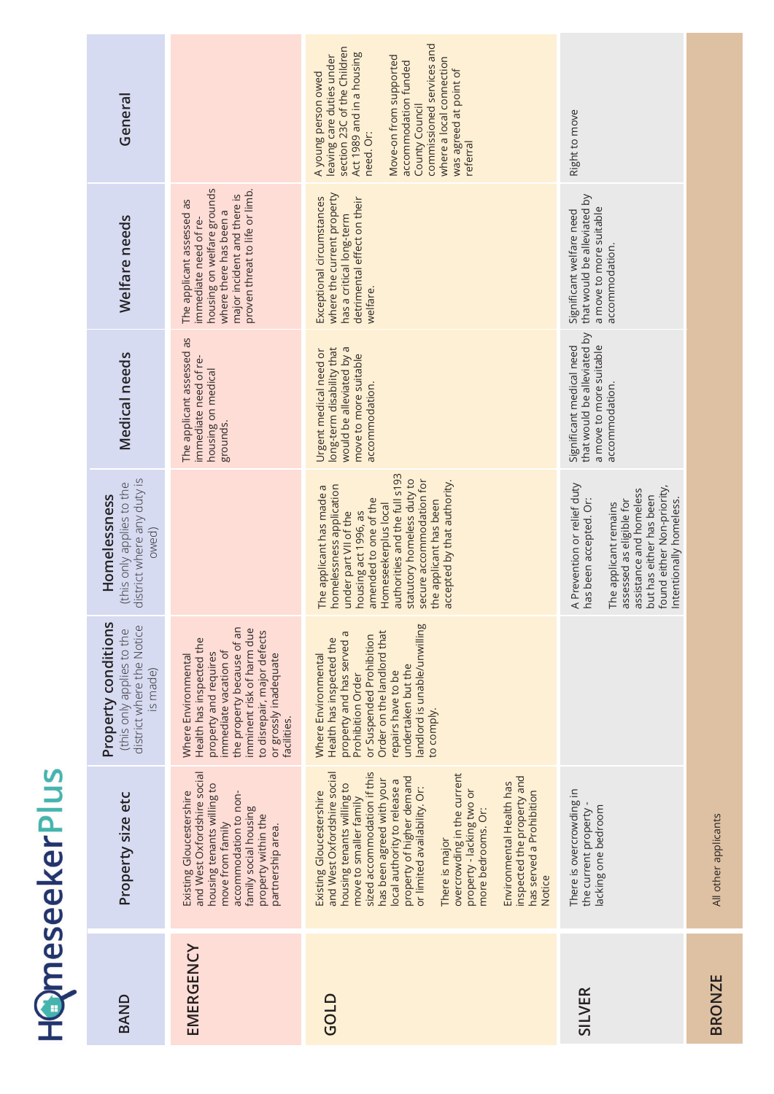| C                    |
|----------------------|
| $\tilde{\mathbf{C}}$ |
| Ù                    |
| Č                    |
|                      |
|                      |
|                      |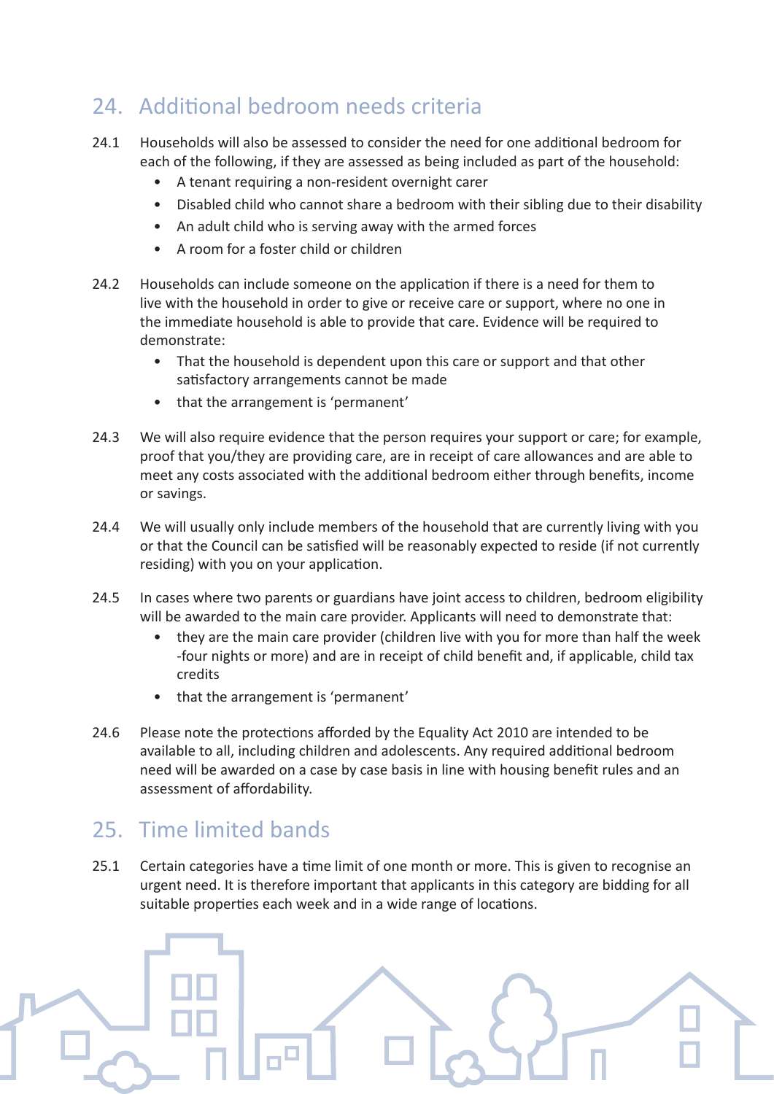# 24. Additional bedroom needs criteria

- 24.1 Households will also be assessed to consider the need for one additional bedroom for each of the following, if they are assessed as being included as part of the household:
	- A tenant requiring a non-resident overnight carer
	- Disabled child who cannot share a bedroom with their sibling due to their disability
	- An adult child who is serving away with the armed forces
	- A room for a foster child or children
- 24.2 Households can include someone on the application if there is a need for them to live with the household in order to give or receive care or support, where no one in the immediate household is able to provide that care. Evidence will be required to demonstrate:
	- That the household is dependent upon this care or support and that other satisfactory arrangements cannot be made
	- that the arrangement is 'permanent'
- 24.3 We will also require evidence that the person requires your support or care; for example, proof that you/they are providing care, are in receipt of care allowances and are able to meet any costs associated with the additional bedroom either through benefits, income or savings.
- 24.4 We will usually only include members of the household that are currently living with you or that the Council can be satisfied will be reasonably expected to reside (if not currently residing) with you on your application.
- 24.5 In cases where two parents or guardians have joint access to children, bedroom eligibility will be awarded to the main care provider. Applicants will need to demonstrate that:
	- they are the main care provider (children live with you for more than half the week -four nights or more) and are in receipt of child benefit and, if applicable, child tax credits
	- that the arrangement is 'permanent'
- 24.6 Please note the protections afforded by the Equality Act 2010 are intended to be available to all, including children and adolescents. Any required additional bedroom need will be awarded on a case by case basis in line with housing benefit rules and an assessment of affordability.

# 25. Time limited bands

25.1 Certain categories have a time limit of one month or more. This is given to recognise an urgent need. It is therefore important that applicants in this category are bidding for all suitable properties each week and in a wide range of locations.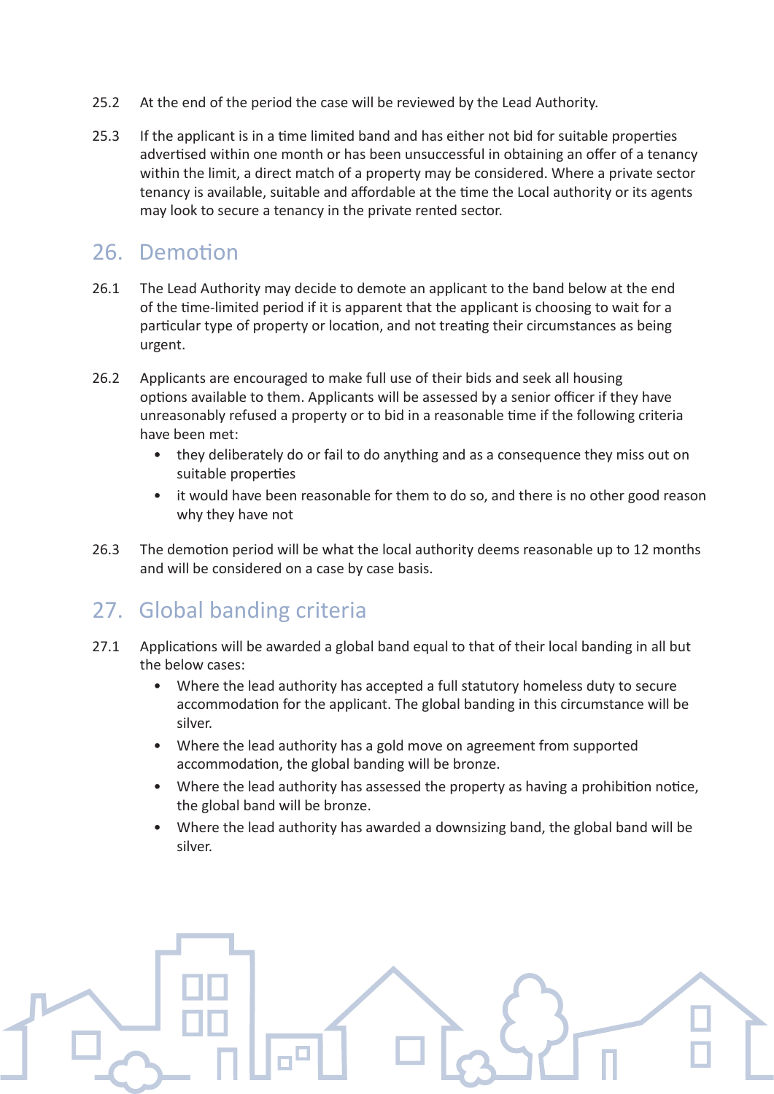- 25.2 At the end of the period the case will be reviewed by the Lead Authority.
- 25.3 If the applicant is in a time limited band and has either not bid for suitable properties advertised within one month or has been unsuccessful in obtaining an offer of a tenancy within the limit, a direct match of a property may be considered. Where a private sector tenancy is available, suitable and affordable at the time the Local authority or its agents may look to secure a tenancy in the private rented sector.

#### 26. Demotion

- 26.1 The Lead Authority may decide to demote an applicant to the band below at the end of the time-limited period if it is apparent that the applicant is choosing to wait for a particular type of property or location, and not treating their circumstances as being urgent.
- 26.2 Applicants are encouraged to make full use of their bids and seek all housing options available to them. Applicants will be assessed by a senior officer if they have unreasonably refused a property or to bid in a reasonable time if the following criteria have been met:
	- they deliberately do or fail to do anything and as a consequence they miss out on suitable properties
	- it would have been reasonable for them to do so, and there is no other good reason why they have not
- 26.3 The demotion period will be what the local authority deems reasonable up to 12 months and will be considered on a case by case basis.

#### 27. Global banding criteria

- 27.1 Applications will be awarded a global band equal to that of their local banding in all but the below cases:
	- Where the lead authority has accepted a full statutory homeless duty to secure accommodation for the applicant. The global banding in this circumstance will be silver.
	- Where the lead authority has a gold move on agreement from supported accommodation, the global banding will be bronze.
	- Where the lead authority has assessed the property as having a prohibition notice, the global band will be bronze.
	- Where the lead authority has awarded a downsizing band, the global band will be silver.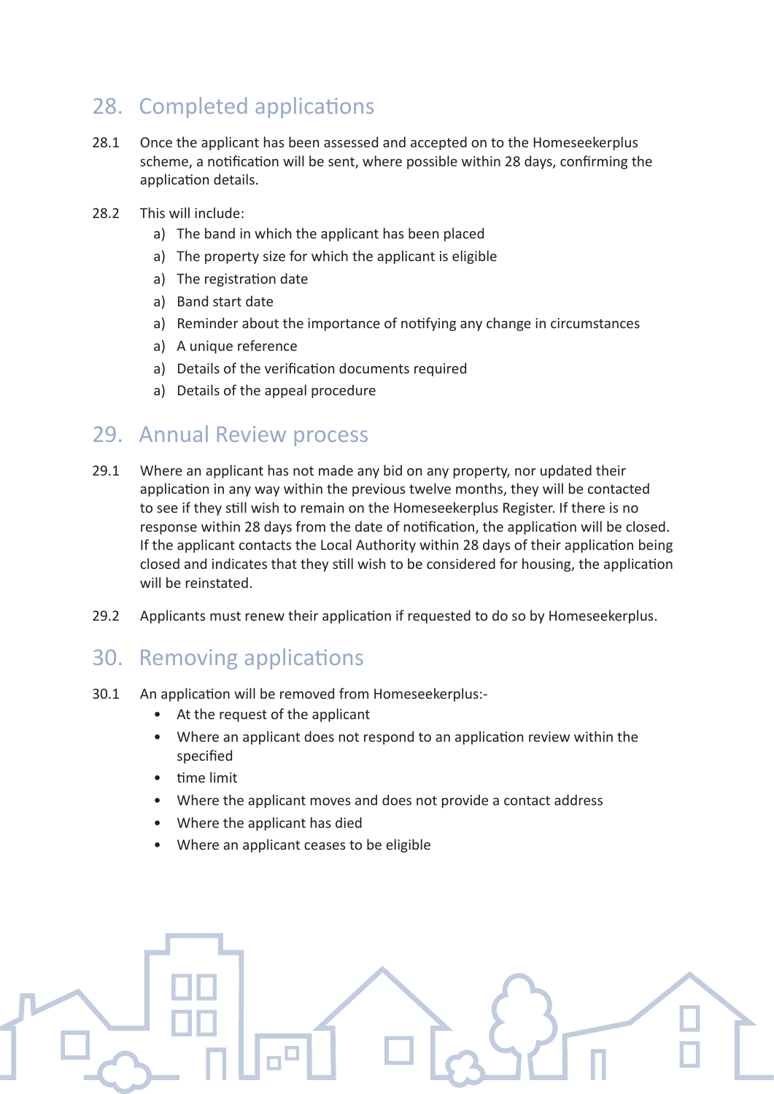# 28. Completed applications

- 28.1 Once the applicant has been assessed and accepted on to the Homeseekerplus scheme, a notification will be sent, where possible within 28 days, confirming the application details.
- 28.2 This will include:
	- a) The band in which the applicant has been placed
	- a) The property size for which the applicant is eligible
	- a) The registration date
	- a) Band start date
	- a) Reminder about the importance of notifying any change in circumstances
	- a) A unique reference
	- a) Details of the verification documents required
	- a) Details of the appeal procedure

#### 29. Annual Review process

- 29.1 Where an applicant has not made any bid on any property, nor updated their application in any way within the previous twelve months, they will be contacted to see if they still wish to remain on the Homeseekerplus Register. If there is no response within 28 days from the date of notification, the application will be closed. If the applicant contacts the Local Authority within 28 days of their application being closed and indicates that they still wish to be considered for housing, the application will be reinstated.
- 29.2 Applicants must renew their application if requested to do so by Homeseekerplus.

#### 30. Removing applications

- 30.1 An application will be removed from Homeseekerplus:-
	- At the request of the applicant
	- Where an applicant does not respond to an application review within the specified
	- time limit
	- Where the applicant moves and does not provide a contact address
	- Where the applicant has died
	- Where an applicant ceases to be eligible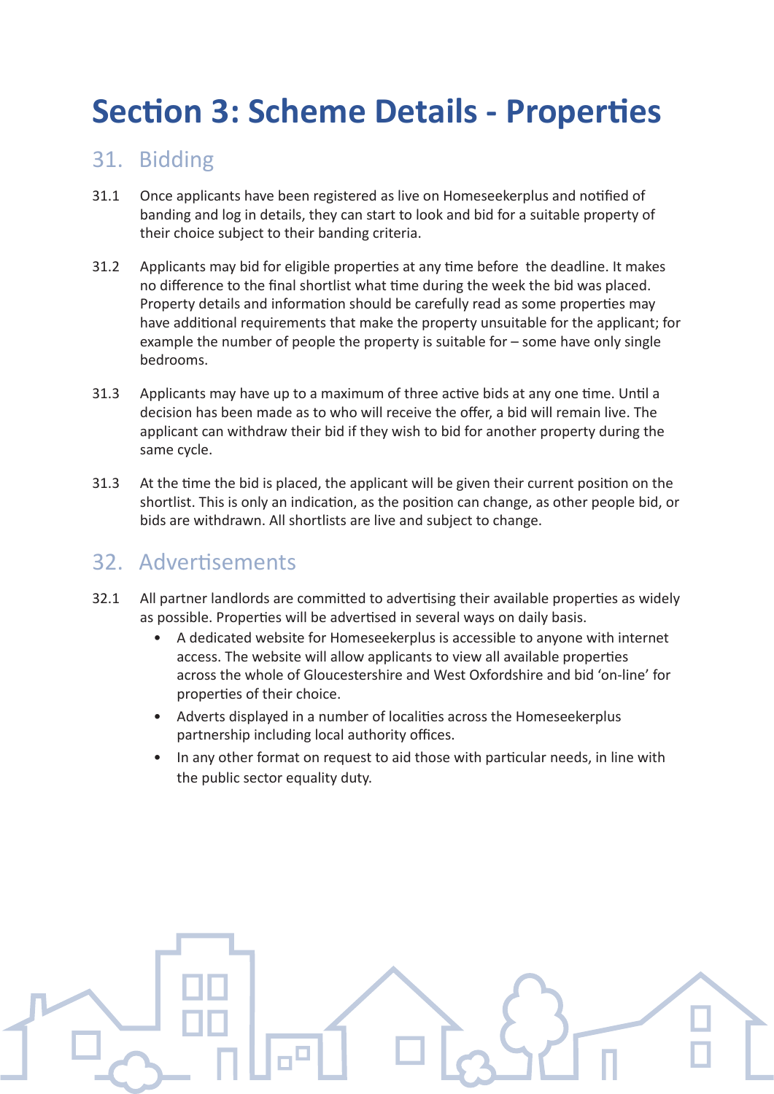# **Section 3: Scheme Details - Properties**

# 31. Bidding

- 31.1 Once applicants have been registered as live on Homeseekerplus and notified of banding and log in details, they can start to look and bid for a suitable property of their choice subject to their banding criteria.
- 31.2 Applicants may bid for eligible properties at any time before the deadline. It makes no difference to the final shortlist what time during the week the bid was placed. Property details and information should be carefully read as some properties may have additional requirements that make the property unsuitable for the applicant; for example the number of people the property is suitable for – some have only single bedrooms.
- 31.3 Applicants may have up to a maximum of three active bids at any one time. Until a decision has been made as to who will receive the offer, a bid will remain live. The applicant can withdraw their bid if they wish to bid for another property during the same cycle.
- 31.3 At the time the bid is placed, the applicant will be given their current position on the shortlist. This is only an indication, as the position can change, as other people bid, or bids are withdrawn. All shortlists are live and subject to change.

# 32. Advertisements

- 32.1 All partner landlords are committed to advertising their available properties as widely as possible. Properties will be advertised in several ways on daily basis.
	- A dedicated website for Homeseekerplus is accessible to anyone with internet access. The website will allow applicants to view all available properties across the whole of Gloucestershire and West Oxfordshire and bid 'on-line' for properties of their choice.
	- Adverts displayed in a number of localities across the Homeseekerplus partnership including local authority offices.
	- In any other format on request to aid those with particular needs, in line with the public sector equality duty.

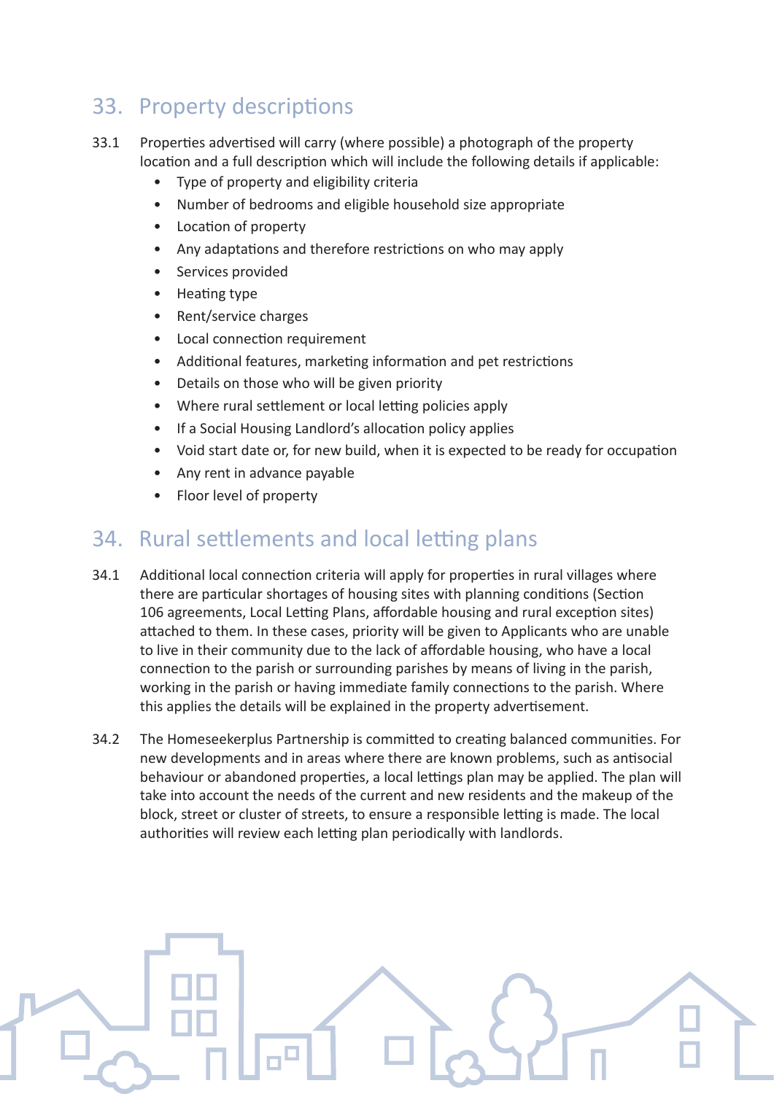# 33. Property descriptions

33.1 Properties advertised will carry (where possible) a photograph of the property location and a full description which will include the following details if applicable:

- Type of property and eligibility criteria
- Number of bedrooms and eligible household size appropriate
- Location of property
- Any adaptations and therefore restrictions on who may apply
- Services provided
- Heating type
- Rent/service charges
- Local connection requirement
- Additional features, marketing information and pet restrictions
- Details on those who will be given priority
- Where rural settlement or local letting policies apply
- If a Social Housing Landlord's allocation policy applies
- Void start date or, for new build, when it is expected to be ready for occupation
- Any rent in advance payable
- Floor level of property

#### 34. Rural settlements and local letting plans

- 34.1 Additional local connection criteria will apply for properties in rural villages where there are particular shortages of housing sites with planning conditions (Section 106 agreements, Local Letting Plans, affordable housing and rural exception sites) attached to them. In these cases, priority will be given to Applicants who are unable to live in their community due to the lack of affordable housing, who have a local connection to the parish or surrounding parishes by means of living in the parish, working in the parish or having immediate family connections to the parish. Where this applies the details will be explained in the property advertisement.
- 34.2 The Homeseekerplus Partnership is committed to creating balanced communities. For new developments and in areas where there are known problems, such as antisocial behaviour or abandoned properties, a local lettings plan may be applied. The plan will take into account the needs of the current and new residents and the makeup of the block, street or cluster of streets, to ensure a responsible letting is made. The local authorities will review each letting plan periodically with landlords.

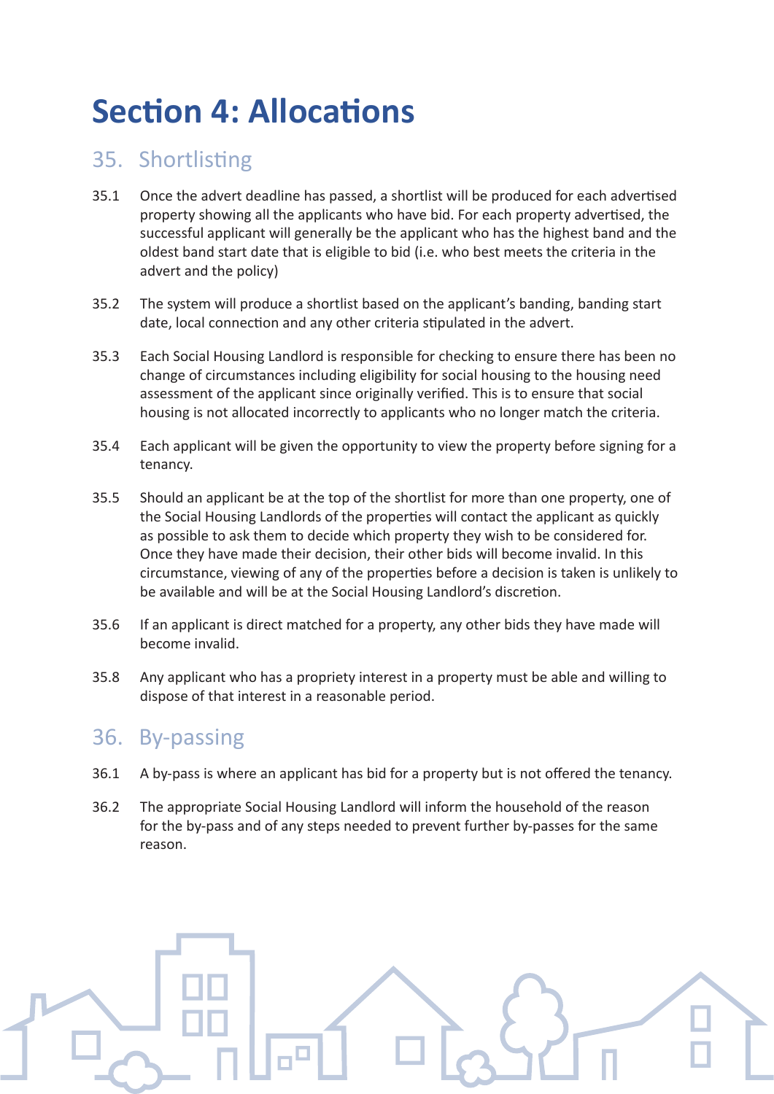# **Section 4: Allocations**

# 35. Shortlisting

- 35.1 Once the advert deadline has passed, a shortlist will be produced for each advertised property showing all the applicants who have bid. For each property advertised, the successful applicant will generally be the applicant who has the highest band and the oldest band start date that is eligible to bid (i.e. who best meets the criteria in the advert and the policy)
- 35.2 The system will produce a shortlist based on the applicant's banding, banding start date, local connection and any other criteria stipulated in the advert.
- 35.3 Each Social Housing Landlord is responsible for checking to ensure there has been no change of circumstances including eligibility for social housing to the housing need assessment of the applicant since originally verified. This is to ensure that social housing is not allocated incorrectly to applicants who no longer match the criteria.
- 35.4 Each applicant will be given the opportunity to view the property before signing for a tenancy.
- 35.5 Should an applicant be at the top of the shortlist for more than one property, one of the Social Housing Landlords of the properties will contact the applicant as quickly as possible to ask them to decide which property they wish to be considered for. Once they have made their decision, their other bids will become invalid. In this circumstance, viewing of any of the properties before a decision is taken is unlikely to be available and will be at the Social Housing Landlord's discretion.
- 35.6 If an applicant is direct matched for a property, any other bids they have made will become invalid.
- 35.8 Any applicant who has a propriety interest in a property must be able and willing to dispose of that interest in a reasonable period.

#### 36. By-passing

- 36.1 A by-pass is where an applicant has bid for a property but is not offered the tenancy.
- 36.2 The appropriate Social Housing Landlord will inform the household of the reason for the by-pass and of any steps needed to prevent further by-passes for the same reason.

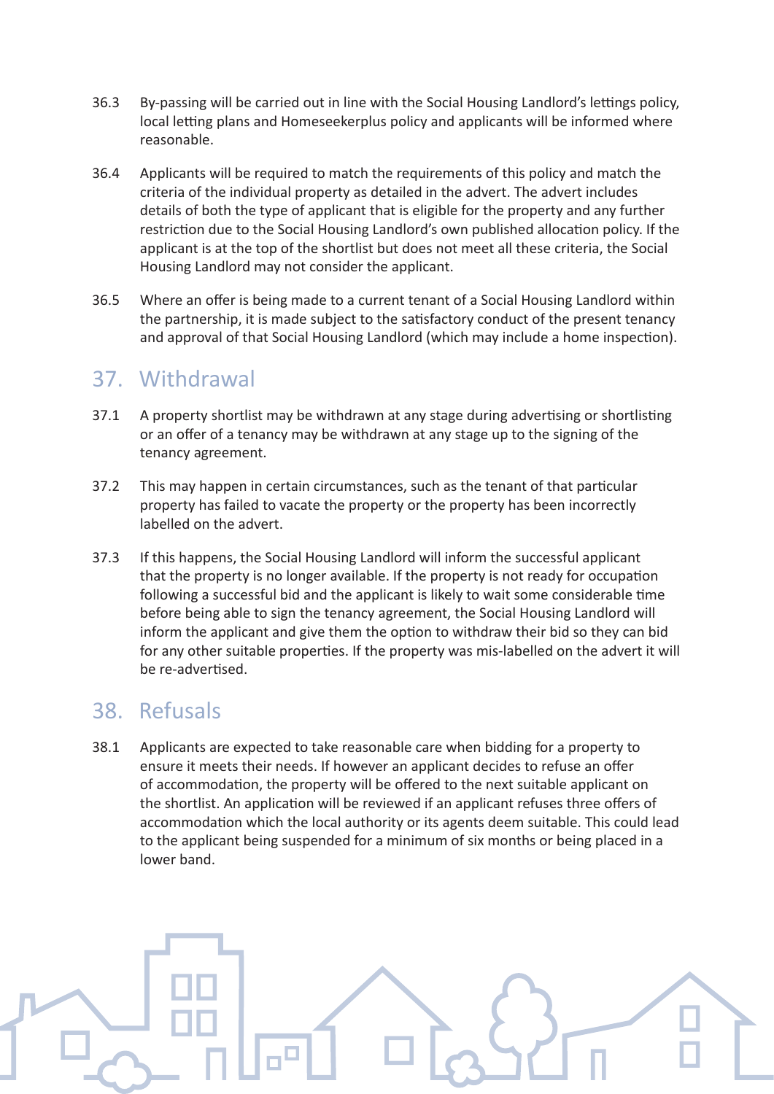- 36.3 By-passing will be carried out in line with the Social Housing Landlord's lettings policy, local letting plans and Homeseekerplus policy and applicants will be informed where reasonable.
- 36.4 Applicants will be required to match the requirements of this policy and match the criteria of the individual property as detailed in the advert. The advert includes details of both the type of applicant that is eligible for the property and any further restriction due to the Social Housing Landlord's own published allocation policy. If the applicant is at the top of the shortlist but does not meet all these criteria, the Social Housing Landlord may not consider the applicant.
- 36.5 Where an offer is being made to a current tenant of a Social Housing Landlord within the partnership, it is made subject to the satisfactory conduct of the present tenancy and approval of that Social Housing Landlord (which may include a home inspection).

#### 37. Withdrawal

- 37.1 A property shortlist may be withdrawn at any stage during advertising or shortlisting or an offer of a tenancy may be withdrawn at any stage up to the signing of the tenancy agreement.
- 37.2 This may happen in certain circumstances, such as the tenant of that particular property has failed to vacate the property or the property has been incorrectly labelled on the advert.
- 37.3 If this happens, the Social Housing Landlord will inform the successful applicant that the property is no longer available. If the property is not ready for occupation following a successful bid and the applicant is likely to wait some considerable time before being able to sign the tenancy agreement, the Social Housing Landlord will inform the applicant and give them the option to withdraw their bid so they can bid for any other suitable properties. If the property was mis-labelled on the advert it will be re-advertised.

#### 38. Refusals

38.1 Applicants are expected to take reasonable care when bidding for a property to ensure it meets their needs. If however an applicant decides to refuse an offer of accommodation, the property will be offered to the next suitable applicant on the shortlist. An application will be reviewed if an applicant refuses three offers of accommodation which the local authority or its agents deem suitable. This could lead to the applicant being suspended for a minimum of six months or being placed in a lower band.

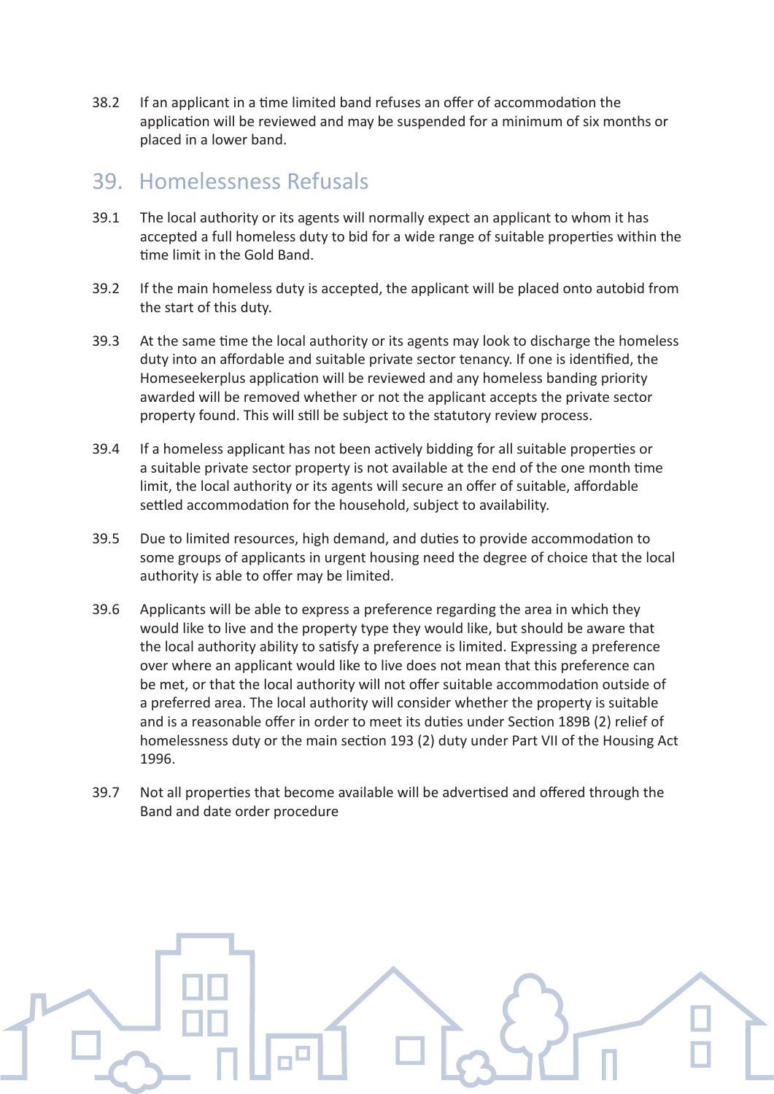38.2 If an applicant in a time limited band refuses an offer of accommodation the application will be reviewed and may be suspended for a minimum of six months or placed in a lower band.

#### 39. Homelessness Refusals

- 39.1 The local authority or its agents will normally expect an applicant to whom it has accepted a full homeless duty to bid for a wide range of suitable properties within the time limit in the Gold Band.
- 39.2 If the main homeless duty is accepted, the applicant will be placed onto autobid from the start of this duty.
- 39.3 At the same time the local authority or its agents may look to discharge the homeless duty into an affordable and suitable private sector tenancy. If one is identified, the Homeseekerplus application will be reviewed and any homeless banding priority awarded will be removed whether or not the applicant accepts the private sector property found. This will still be subject to the statutory review process.
- 39.4 If a homeless applicant has not been actively bidding for all suitable properties or a suitable private sector property is not available at the end of the one month time limit, the local authority or its agents will secure an offer of suitable, affordable settled accommodation for the household, subject to availability.
- 39.5 Due to limited resources, high demand, and duties to provide accommodation to some groups of applicants in urgent housing need the degree of choice that the local authority is able to offer may be limited.
- 39.6 Applicants will be able to express a preference regarding the area in which they would like to live and the property type they would like, but should be aware that the local authority ability to satisfy a preference is limited. Expressing a preference over where an applicant would like to live does not mean that this preference can be met, or that the local authority will not offer suitable accommodation outside of a preferred area. The local authority will consider whether the property is suitable and is a reasonable offer in order to meet its duties under Section 189B (2) relief of homelessness duty or the main section 193 (2) duty under Part VII of the Housing Act 1996.
- 39.7 Not all properties that become available will be advertised and offered through the Band and date order procedure

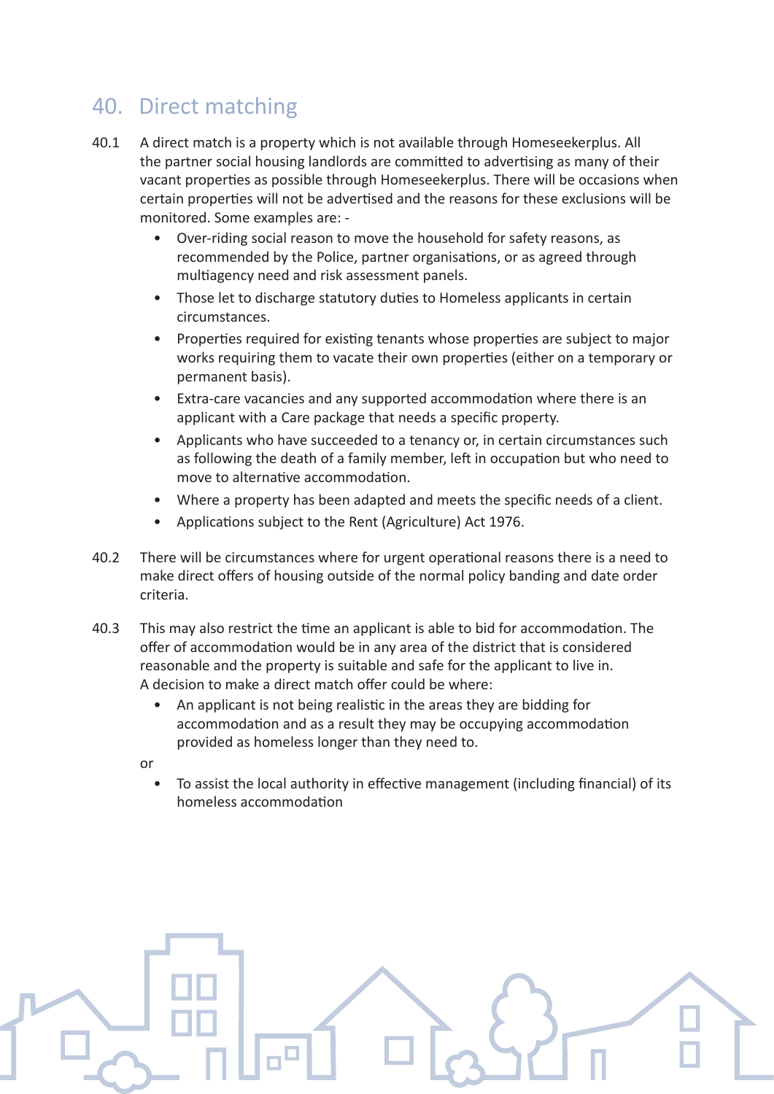# 40. Direct matching

- 40.1 A direct match is a property which is not available through Homeseekerplus. All the partner social housing landlords are committed to advertising as many of their vacant properties as possible through Homeseekerplus. There will be occasions when certain properties will not be advertised and the reasons for these exclusions will be monitored. Some examples are: -
	- Over-riding social reason to move the household for safety reasons, as recommended by the Police, partner organisations, or as agreed through multiagency need and risk assessment panels.
	- Those let to discharge statutory duties to Homeless applicants in certain circumstances.
	- Properties required for existing tenants whose properties are subject to major works requiring them to vacate their own properties (either on a temporary or permanent basis).
	- Extra-care vacancies and any supported accommodation where there is an applicant with a Care package that needs a specific property.
	- Applicants who have succeeded to a tenancy or, in certain circumstances such as following the death of a family member, left in occupation but who need to move to alternative accommodation.
	- Where a property has been adapted and meets the specific needs of a client.
	- Applications subject to the Rent (Agriculture) Act 1976.
- 40.2 There will be circumstances where for urgent operational reasons there is a need to make direct offers of housing outside of the normal policy banding and date order criteria.
- 40.3 This may also restrict the time an applicant is able to bid for accommodation. The offer of accommodation would be in any area of the district that is considered reasonable and the property is suitable and safe for the applicant to live in. A decision to make a direct match offer could be where:
	- An applicant is not being realistic in the areas they are bidding for accommodation and as a result they may be occupying accommodation provided as homeless longer than they need to.
	- or
		- To assist the local authority in effective management (including financial) of its homeless accommodation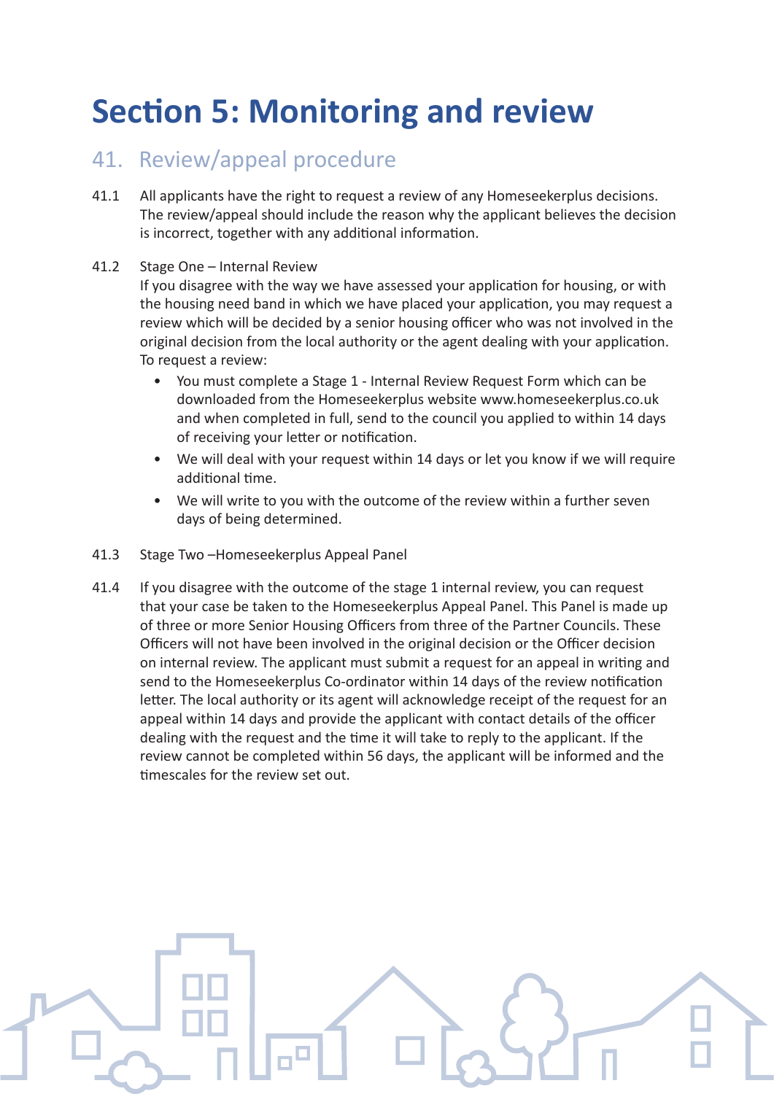# **Section 5: Monitoring and review**

### 41. Review/appeal procedure

41.1 All applicants have the right to request a review of any Homeseekerplus decisions. The review/appeal should include the reason why the applicant believes the decision is incorrect, together with any additional information.

#### 41.2 Stage One – Internal Review

If you disagree with the way we have assessed your application for housing, or with the housing need band in which we have placed your application, you may request a review which will be decided by a senior housing officer who was not involved in the original decision from the local authority or the agent dealing with your application. To request a review:

- You must complete a Stage 1 Internal Review Request Form which can be downloaded from the Homeseekerplus website www.homeseekerplus.co.uk and when completed in full, send to the council you applied to within 14 days of receiving your letter or notification.
- We will deal with your request within 14 days or let you know if we will require additional time.
- We will write to you with the outcome of the review within a further seven days of being determined.
- 41.3 Stage Two –Homeseekerplus Appeal Panel
- 41.4 If you disagree with the outcome of the stage 1 internal review, you can request that your case be taken to the Homeseekerplus Appeal Panel. This Panel is made up of three or more Senior Housing Officers from three of the Partner Councils. These Officers will not have been involved in the original decision or the Officer decision on internal review. The applicant must submit a request for an appeal in writing and send to the Homeseekerplus Co-ordinator within 14 days of the review notification letter. The local authority or its agent will acknowledge receipt of the request for an appeal within 14 days and provide the applicant with contact details of the officer dealing with the request and the time it will take to reply to the applicant. If the review cannot be completed within 56 days, the applicant will be informed and the timescales for the review set out.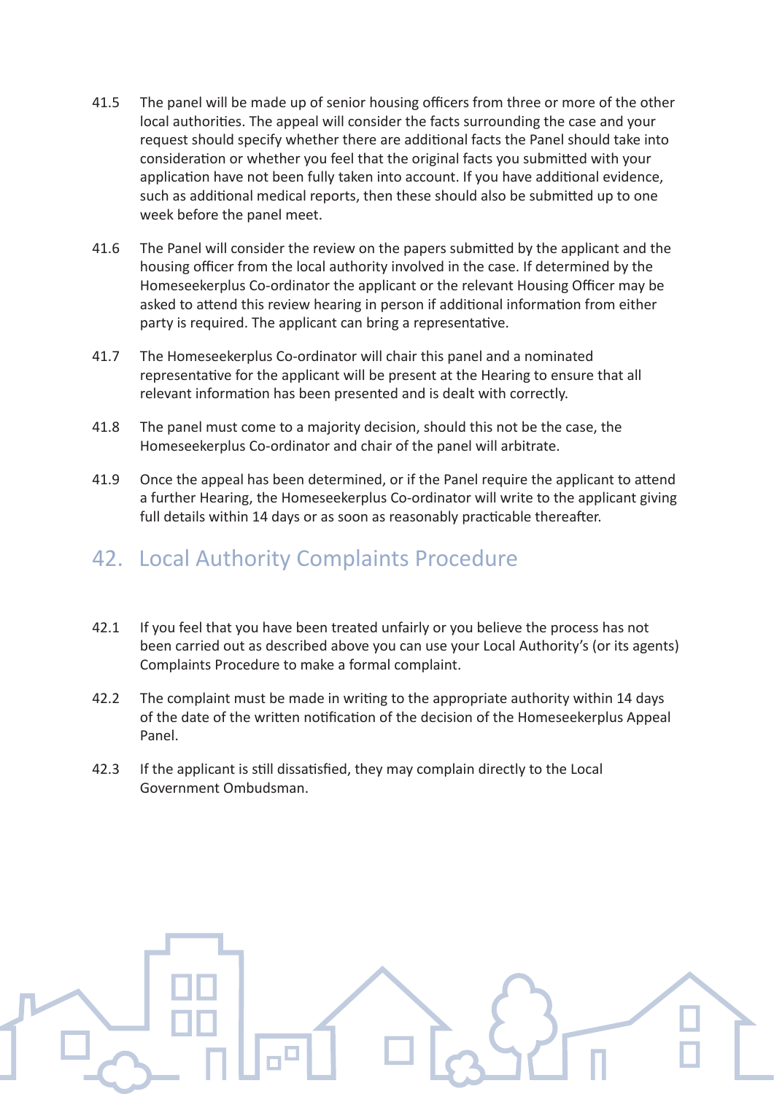- 41.5 The panel will be made up of senior housing officers from three or more of the other local authorities. The appeal will consider the facts surrounding the case and your request should specify whether there are additional facts the Panel should take into consideration or whether you feel that the original facts you submitted with your application have not been fully taken into account. If you have additional evidence, such as additional medical reports, then these should also be submitted up to one week before the panel meet.
- 41.6 The Panel will consider the review on the papers submitted by the applicant and the housing officer from the local authority involved in the case. If determined by the Homeseekerplus Co-ordinator the applicant or the relevant Housing Officer may be asked to attend this review hearing in person if additional information from either party is required. The applicant can bring a representative.
- 41.7 The Homeseekerplus Co-ordinator will chair this panel and a nominated representative for the applicant will be present at the Hearing to ensure that all relevant information has been presented and is dealt with correctly.
- 41.8 The panel must come to a majority decision, should this not be the case, the Homeseekerplus Co-ordinator and chair of the panel will arbitrate.
- 41.9 Once the appeal has been determined, or if the Panel require the applicant to attend a further Hearing, the Homeseekerplus Co-ordinator will write to the applicant giving full details within 14 days or as soon as reasonably practicable thereafter.

# 42. Local Authority Complaints Procedure

- 42.1 If you feel that you have been treated unfairly or you believe the process has not been carried out as described above you can use your Local Authority's (or its agents) Complaints Procedure to make a formal complaint.
- 42.2 The complaint must be made in writing to the appropriate authority within 14 days of the date of the written notification of the decision of the Homeseekerplus Appeal Panel.
- 42.3 If the applicant is still dissatisfied, they may complain directly to the Local Government Ombudsman.

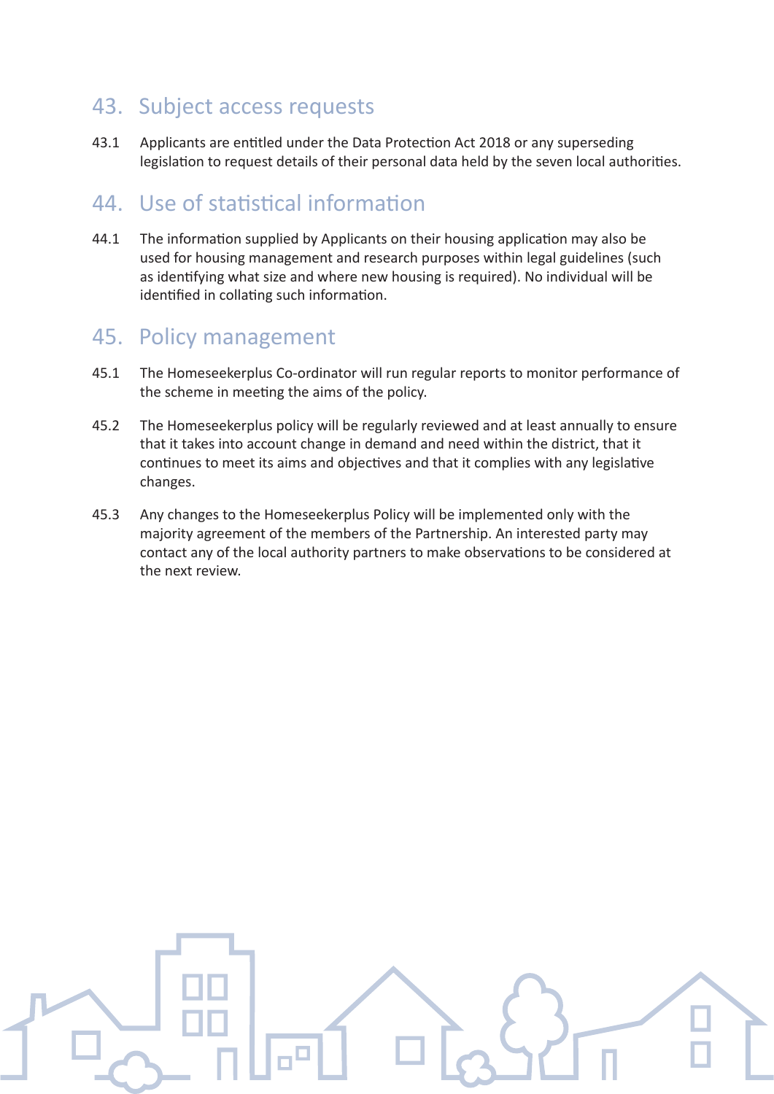#### 43. Subject access requests

43.1 Applicants are entitled under the Data Protection Act 2018 or any superseding legislation to request details of their personal data held by the seven local authorities.

#### 44. Use of statistical information

44.1 The information supplied by Applicants on their housing application may also be used for housing management and research purposes within legal guidelines (such as identifying what size and where new housing is required). No individual will be identified in collating such information.

#### 45. Policy management

- 45.1 The Homeseekerplus Co-ordinator will run regular reports to monitor performance of the scheme in meeting the aims of the policy.
- 45.2 The Homeseekerplus policy will be regularly reviewed and at least annually to ensure that it takes into account change in demand and need within the district, that it continues to meet its aims and objectives and that it complies with any legislative changes.
- 45.3 Any changes to the Homeseekerplus Policy will be implemented only with the majority agreement of the members of the Partnership. An interested party may contact any of the local authority partners to make observations to be considered at the next review.